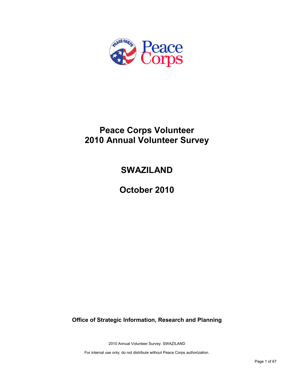

# **Peace Corps Volunteer 2010 Annual Volunteer Survey**

# **SWAZILAND**

**October 2010**

**Office of Strategic Information, Research and Planning**

2010 Annual Volunteer Survey: SWAZILAND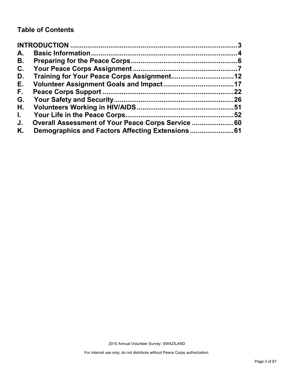## **Table of Contents**

| A.           |                                                |    |
|--------------|------------------------------------------------|----|
| В.           |                                                |    |
| C.           |                                                |    |
| D.           |                                                |    |
| Е.           |                                                |    |
| F.,          |                                                | 22 |
| G.           |                                                |    |
| Η.           |                                                |    |
| $\mathbf{L}$ |                                                |    |
| J.           | Overall Assessment of Your Peace Corps Service |    |
| Κ.           |                                                |    |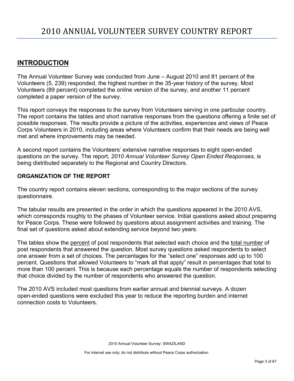## <span id="page-2-0"></span>**INTRODUCTION**

The Annual Volunteer Survey was conducted from June – August 2010 and 81 percent of the Volunteers (5, 239) responded, the highest number in the 35-year history of the survey. Most Volunteers (89 percent) completed the online version of the survey, and another 11 percent completed a paper version of the survey.

This report conveys the responses to the survey from Volunteers serving in one particular country. The report contains the tables and short narrative responses from the questions offering a finite set of possible responses. The results provide a picture of the activities, experiences and views of Peace Corps Volunteers in 2010, including areas where Volunteers confirm that their needs are being well met and where improvements may be needed.

A second report contains the Volunteers' extensive narrative responses to eight open-ended questions on the survey. The report, *2010 Annual Volunteer Survey Open Ended Responses,* is being distributed separately to the Regional and Country Directors.

## **ORGANIZATION OF THE REPORT**

The country report contains eleven sections, corresponding to the major sections of the survey questionnaire.

The tabular results are presented in the order in which the questions appeared in the 2010 AVS, which corresponds roughly to the phases of Volunteer service. Initial questions asked about preparing for Peace Corps. These were followed by questions about assignment activities and training. The final set of questions asked about extending service beyond two years.

The tables show the percent of post respondents that selected each choice and the total number of post respondents that answered the question. Most survey questions asked respondents to select one answer from a set of choices. The percentages for the "select one" responses add up to 100 percent. Questions that allowed Volunteers to "mark all that apply" result in percentages that total to more than 100 percent. This is because each percentage equals the number of respondents selecting that choice divided by the number of respondents who answered the question.

The 2010 AVS included most questions from earlier annual and biennial surveys. A dozen open-ended questions were excluded this year to reduce the reporting burden and internet connection costs to Volunteers.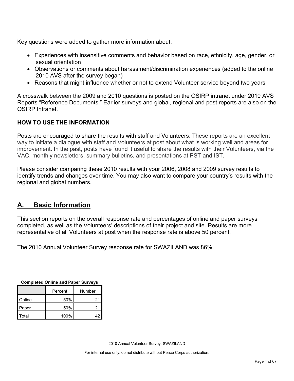Key questions were added to gather more information about:

- Experiences with insensitive comments and behavior based on race, ethnicity, age, gender, or sexual orientation
- Observations or comments about harassment/discrimination experiences (added to the online 2010 AVS after the survey began)
- Reasons that might influence whether or not to extend Volunteer service beyond two years

A crosswalk between the 2009 and 2010 questions is posted on the OSIRP intranet under 2010 AVS Reports "Reference Documents." Earlier surveys and global, regional and post reports are also on the OSIRP Intranet.

## **HOW TO USE THE INFORMATION**

Posts are encouraged to share the results with staff and Volunteers. These reports are an excellent way to initiate a dialogue with staff and Volunteers at post about what is working well and areas for improvement. In the past, posts have found it useful to share the results with their Volunteers, via the VAC, monthly newsletters, summary bulletins, and presentations at PST and IST.

Please consider comparing these 2010 results with your 2006, 2008 and 2009 survey results to identify trends and changes over time. You may also want to compare your country's results with the regional and global numbers.

## <span id="page-3-0"></span>**A. Basic Information**

This section reports on the overall response rate and percentages of online and paper surveys completed, as well as the Volunteers' descriptions of their project and site. Results are more representative of all Volunteers at post when the response rate is above 50 percent.

The 2010 Annual Volunteer Survey response rate for SWAZILAND was 86%.

| Completed Online and Paper Surveys |      |        |  |  |
|------------------------------------|------|--------|--|--|
| Percent                            |      | Number |  |  |
| Online                             | 50%  | 21     |  |  |
| Paper                              | 50%  | 21     |  |  |
| Total                              | 100% | 42     |  |  |

**Completed Online and Paper Surveys**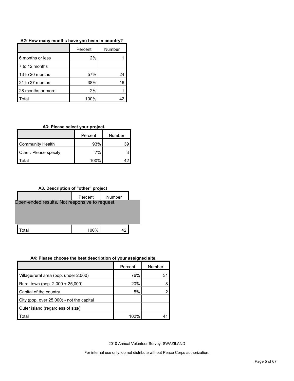|                   | Percent | Number |
|-------------------|---------|--------|
| 6 months or less  | 2%      |        |
| 7 to 12 months    |         |        |
| 13 to 20 months   | 57%     | 24     |
| 21 to 27 months   | 38%     | 16     |
| 28 months or more | 2%      |        |
| <b>Fotal</b>      | 100%    |        |

**A2: How many months have you been in country?**

**A3: Please select your project.**

|                       | Percent | Number |
|-----------------------|---------|--------|
| Community Health      | 93%     | 39     |
| Other. Please specify | 7%      |        |
| otal <sup>.</sup>     | 100%    |        |

**A3. Description of "other" project**



#### **A4: Please choose the best description of your assigned site.**

|                                           | Percent | Number |
|-------------------------------------------|---------|--------|
| Village/rural area (pop. under 2,000)     | 76%     | 31     |
| Rural town (pop. 2,000 + 25,000)          | 20%     |        |
| Capital of the country                    | 5%      |        |
| City (pop. over 25,000) - not the capital |         |        |
| Outer island (regardless of size)         |         |        |
| Total                                     | 100%    | 41     |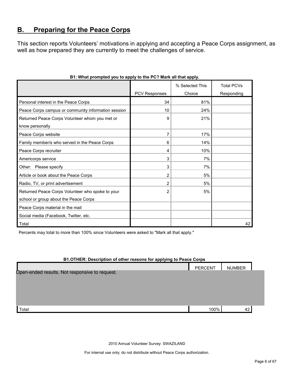## <span id="page-5-0"></span>**B. Preparing for the Peace Corps**

This section reports Volunteers' motivations in applying and accepting a Peace Corps assignment, as well as how prepared they are currently to meet the challenges of service.

|                                                                   |                      | % Selected This | <b>Total PCVs</b> |
|-------------------------------------------------------------------|----------------------|-----------------|-------------------|
|                                                                   | <b>PCV Responses</b> | Choice          | Responding        |
| Personal interest in the Peace Corps                              | 34                   | 81%             |                   |
| Peace Corps campus or community information session               | 10                   | 24%             |                   |
| Returned Peace Corps Volunteer whom you met or<br>know personally | 9                    | 21%             |                   |
|                                                                   |                      |                 |                   |
| Peace Corps website                                               | 7                    | 17%             |                   |
| Family member/s who served in the Peace Corps                     | 6                    | 14%             |                   |
| Peace Corps recruiter                                             | 4                    | 10%             |                   |
| Americorps service                                                | 3                    | 7%              |                   |
| Other: Please specify                                             | 3                    | 7%              |                   |
| Article or book about the Peace Corps                             | 2                    | 5%              |                   |
| Radio, TV, or print advertisement                                 | 2                    | 5%              |                   |
| Returned Peace Corps Volunteer who spoke to your                  | 2                    | 5%              |                   |
| school or group about the Peace Corps                             |                      |                 |                   |
| Peace Corps material in the mail                                  |                      |                 |                   |
| Social media (Facebook, Twitter, etc.                             |                      |                 |                   |
| Total                                                             |                      |                 | 42                |

## **B1: What prompted you to apply to the PC? Mark all that apply.**

Percents may total to more than 100% since Volunteers were asked to "Mark all that apply."

| B1.OTHER: Description of other reasons for applying to Peace Corps |                |               |
|--------------------------------------------------------------------|----------------|---------------|
|                                                                    | <b>PERCENT</b> | <b>NUMBER</b> |
| Open-ended results. Not responsive to request.                     |                |               |
|                                                                    |                |               |
|                                                                    |                |               |
|                                                                    |                |               |
| Total                                                              | 100%           | 42            |

2010 Annual Volunteer Survey: SWAZILAND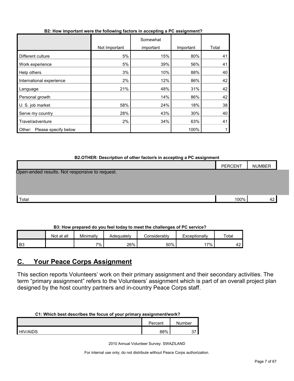| B2: How important were the following factors in accepting a PC assignment? |  |  |
|----------------------------------------------------------------------------|--|--|
|                                                                            |  |  |

|                                |               | Somewhat  |           |       |
|--------------------------------|---------------|-----------|-----------|-------|
|                                | Not Important | important | Important | Total |
| Different culture              | 5%            | 15%       | 80%       | 41    |
| Work experience                | 5%            | 39%       | 56%       | 41    |
| Help others                    | 3%            | 10%       | 88%       | 40    |
| International experience       | 2%            | 12%       | 86%       | 42    |
| Language                       | 21%           | 48%       | 31%       | 42    |
| Personal growth                |               | 14%       | 86%       | 42    |
| U. S. job market               | 58%           | 24%       | 18%       | 38    |
| Serve my country               | 28%           | 43%       | 30%       | 40    |
| Travel/adventure               | 2%            | 34%       | 63%       | 41    |
| Please specify below<br>Other: |               |           | 100%      |       |

## **B2.OTHER: Description of other factor/s in accepting a PC assignment**

|                                                | <b>PERCENT</b> | <b>NUMBER</b> |  |
|------------------------------------------------|----------------|---------------|--|
| Open-ended results. Not responsive to request. |                |               |  |
|                                                |                |               |  |
|                                                |                |               |  |
| Total                                          | 100%           | 42            |  |

## **B3: How prepared do you feel today to meet the challenges of PC service?**

|    | Not at all | Minimally | Adequately | Considerabl∨ | Exceptionally | Total         |
|----|------------|-----------|------------|--------------|---------------|---------------|
| B3 |            | 7%        | 26%        | 50%          | 7%            | $\sim$<br>. . |

## <span id="page-6-0"></span>**C. Your Peace Corps Assignment**

This section reports Volunteers' work on their primary assignment and their secondary activities. The term "primary assignment" refers to the Volunteers' assignment which is part of an overall project plan designed by the host country partners and in-country Peace Corps staff.

| C1: Which best describes the focus of your primary assignment/work? |         |        |  |
|---------------------------------------------------------------------|---------|--------|--|
|                                                                     | Percent | Number |  |
| <b>HIV/AIDS</b>                                                     | 88%     |        |  |

## **C1: Which best describes the focus of your primary assignment/work?**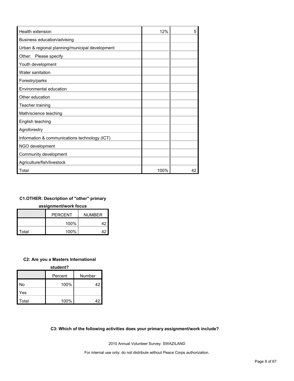| <b>Health extension</b>                         | 12%  | 5  |
|-------------------------------------------------|------|----|
| Business education/advising                     |      |    |
| Urban & regional planning/municipal development |      |    |
| Other: Please specify                           |      |    |
| Youth development                               |      |    |
| Water sanitation                                |      |    |
| Forestry/parks                                  |      |    |
| Environmental education                         |      |    |
| Other education                                 |      |    |
| Teacher training                                |      |    |
| Math/science teaching                           |      |    |
| English teaching                                |      |    |
| Agroforestry                                    |      |    |
| Information & communications technology (ICT)   |      |    |
| NGO development                                 |      |    |
| Community development                           |      |    |
| Agriculture/fish/livestock                      |      |    |
| Total                                           | 100% | 42 |

## **C1.OTHER: Description of "other" primary**

**assignment/work focus**

|       | <b>PFRCFNT</b><br><b>NUMBER</b> |  |
|-------|---------------------------------|--|
|       | 100%                            |  |
| Total | 100%                            |  |

## **C2: Are you a Masters International**

| student? |         |        |  |  |
|----------|---------|--------|--|--|
|          | Percent | Number |  |  |
| No       | 100%    | 42     |  |  |
| Yes      |         |        |  |  |
| Total    | 100%    | 42     |  |  |

## **C3: Which of the following activities does your primary assignment/work include?**

2010 Annual Volunteer Survey: SWAZILAND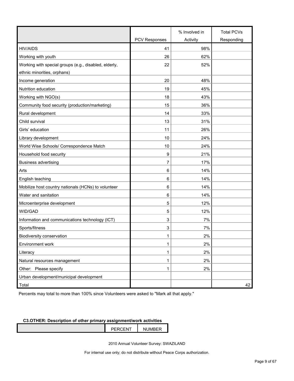|                                                       |                      | % Involved in | <b>Total PCVs</b> |
|-------------------------------------------------------|----------------------|---------------|-------------------|
|                                                       | <b>PCV Responses</b> | Activity      | Responding        |
| <b>HIV/AIDS</b>                                       | 41                   | 98%           |                   |
| Working with youth                                    | 26                   | 62%           |                   |
| Working with special groups (e.g., disabled, elderly, | 22                   | 52%           |                   |
| ethnic minorities, orphans)                           |                      |               |                   |
| Income generation                                     | 20                   | 48%           |                   |
| Nutrition education                                   | 19                   | 45%           |                   |
| Working with NGO(s)                                   | 18                   | 43%           |                   |
| Community food security (production/marketing)        | 15                   | 36%           |                   |
| Rural development                                     | 14                   | 33%           |                   |
| Child survival                                        | 13                   | 31%           |                   |
| Girls' education                                      | 11                   | 26%           |                   |
| Library development                                   | 10                   | 24%           |                   |
| World Wise Schools/ Correspondence Match              | 10                   | 24%           |                   |
| Household food security                               | 9                    | 21%           |                   |
| <b>Business advertising</b>                           | 7                    | 17%           |                   |
| Arts                                                  | 6                    | 14%           |                   |
| English teaching                                      | 6                    | 14%           |                   |
| Mobilize host country nationals (HCNs) to volunteer   | 6                    | 14%           |                   |
| Water and sanitation                                  | 6                    | 14%           |                   |
| Microenterprise development                           | 5                    | 12%           |                   |
| WID/GAD                                               | 5                    | 12%           |                   |
| Information and communications technology (ICT)       | 3                    | 7%            |                   |
| Sports/fitness                                        | 3                    | 7%            |                   |
| Biodiversity conservation                             | 1                    | 2%            |                   |
| Environment work                                      | 1                    | 2%            |                   |
| Literacy                                              | 1                    | 2%            |                   |
| Natural resources management                          | 1                    | 2%            |                   |
| Other: Please specify                                 | 1                    | 2%            |                   |
| Urban development/municipal development               |                      |               |                   |
| Total                                                 |                      |               | 42                |

Percents may total to more than 100% since Volunteers were asked to "Mark all that apply."

## **C3.OTHER: Description of other primary assignment/work activities**

| $\sqrt{2}$ | -- |
|------------|----|
|            |    |
|            |    |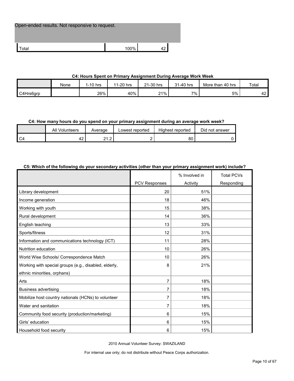Open-ended results. Not responsive to request.

| uldi | ነ0% |  |
|------|-----|--|

#### **C4: Hours Spent on Primary Assignment During Average Work Week**

|           | None | 1-10 hrs | 1-20 hrs<br>44 | 21-30 hrs | 31-40 hrs | More than 40 hrs | Total            |
|-----------|------|----------|----------------|-----------|-----------|------------------|------------------|
| C4Hrs6grp |      | 26%      | 40%            | 21%<br>∠  | 7%        | 5%               | $\sqrt{2}$<br>−∠ |

## **C4: How many hours do you spend on your primary assignment during an average work week?**

|    | All<br>Volunteers   | Average                      | Lowest reported | Highest reported | Did not answer |
|----|---------------------|------------------------------|-----------------|------------------|----------------|
| C4 | $\epsilon$<br>r 4 - | $\sim$<br>$\sim$<br><u>.</u> |                 | 80               |                |

## **C5: Which of the following do your secondary activities (other than your primary assignment work) include?**

|                                                       |                      | % Involved in | <b>Total PCVs</b> |
|-------------------------------------------------------|----------------------|---------------|-------------------|
|                                                       | <b>PCV Responses</b> | Activity      | Responding        |
| Library development                                   | 20                   | 51%           |                   |
| Income generation                                     | 18                   | 46%           |                   |
| Working with youth                                    | 15                   | 38%           |                   |
| Rural development                                     | 14                   | 36%           |                   |
| English teaching                                      | 13                   | 33%           |                   |
| Sports/fitness                                        | 12                   | 31%           |                   |
| Information and communications technology (ICT)       | 11                   | 28%           |                   |
| Nutrition education                                   | 10                   | 26%           |                   |
| World Wise Schools/ Correspondence Match              | 10                   | 26%           |                   |
| Working with special groups (e.g., disabled, elderly, | 8                    | 21%           |                   |
| ethnic minorities, orphans)                           |                      |               |                   |
| Arts                                                  | $\overline{7}$       | 18%           |                   |
| <b>Business advertising</b>                           | 7                    | 18%           |                   |
| Mobilize host country nationals (HCNs) to volunteer   | $\overline{7}$       | 18%           |                   |
| Water and sanitation                                  | 7                    | 18%           |                   |
| Community food security (production/marketing)        | 6                    | 15%           |                   |
| Girls' education                                      | 6                    | 15%           |                   |
| Household food security                               | 6                    | 15%           |                   |

2010 Annual Volunteer Survey: SWAZILAND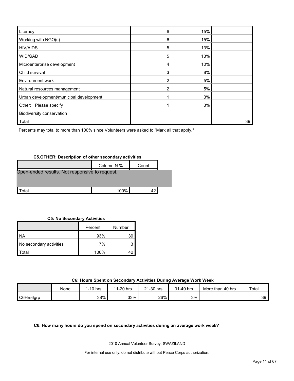| Literacy                                | 6 | 15% |    |
|-----------------------------------------|---|-----|----|
| Working with NGO(s)                     | 6 | 15% |    |
| <b>HIV/AIDS</b>                         | 5 | 13% |    |
| WID/GAD                                 | 5 | 13% |    |
| Microenterprise development             | 4 | 10% |    |
| Child survival                          | 3 | 8%  |    |
| Environment work                        |   | 5%  |    |
| Natural resources management            |   | 5%  |    |
| Urban development/municipal development |   | 3%  |    |
| Other: Please specify                   |   | 3%  |    |
| Biodiversity conservation               |   |     |    |
| Total                                   |   |     | 39 |

Percents may total to more than 100% since Volunteers were asked to "Mark all that apply."

## **C5.OTHER: Description of other secondary activities**

|                                                | Column N % | Count |  |  |
|------------------------------------------------|------------|-------|--|--|
| Open-ended results. Not responsive to request. |            |       |  |  |
|                                                |            |       |  |  |
| ʻotal                                          | 100%       |       |  |  |

#### **C5: No Secondary Activities**

|                         | Percent | Number |
|-------------------------|---------|--------|
| <b>NA</b>               | 93%     | 39     |
| No secondary activities | 7%      |        |
| otal <sup>.</sup>       | 100%    |        |

**C6: Hours Spent on Secondary Activities During Average Work Week**

|           | None | $1-10$ hrs | 1-20 hrs<br>44 | 1-30 hrs<br>$\Omega$ | 1-40 hrs<br>21 | More than 40 hrs | Total |
|-----------|------|------------|----------------|----------------------|----------------|------------------|-------|
| C6Hrs6grp |      | 38%        | 33%            | 26%                  | 3%             |                  | 39    |

**C6. How many hours do you spend on secondary activities during an average work week?**

2010 Annual Volunteer Survey: SWAZILAND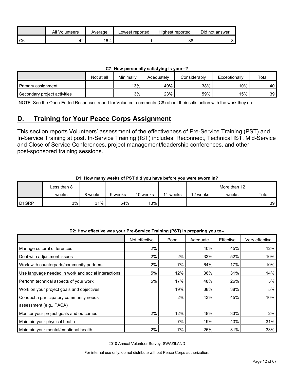|    | All<br>Volunteers | Average | Lowest reported | Highest reported | Did not answer |
|----|-------------------|---------|-----------------|------------------|----------------|
| C6 | 44                | 16.4    |                 | 38               |                |

| C7: How personally satisfying is your--? |  |
|------------------------------------------|--|
|------------------------------------------|--|

|                              | Not at all | Minimally | Adequately | Considerably | Exceptionally | Total |
|------------------------------|------------|-----------|------------|--------------|---------------|-------|
| Primary assignment           |            | $13\%$    | 40%        | 38%          | $10\%$        | 40'   |
| Secondary project activities |            | 3%        | 23%        | 59%          | 15%           | 39    |

NOTE: See the Open-Ended Responses report for Volunteer comments (C8) about their satisfaction with the work they do

## <span id="page-11-0"></span>**D. Training for Your Peace Corps Assignment**

This section reports Volunteers' assessment of the effectiveness of Pre-Service Training (PST) and In-Service Training at post. In-Service Training (IST) includes: Reconnect, Technical IST, Mid-Service and Close of Service Conferences, project management/leadership conferences, and other post-sponsored training sessions.

## **D1: How many weeks of PST did you have before you were sworn in?**

|                   | Less than 8 |         |         |          |       |          | More than 12 |       |
|-------------------|-------------|---------|---------|----------|-------|----------|--------------|-------|
|                   | weeks       | 8 weeks | 9 weeks | 10 weeks | weeks | 12 weeks | weeks        | Total |
| D <sub>1GRP</sub> | 3%          | 31%     | 54%     | 13%      |       |          |              | 39    |

#### **D2: How effective was your Pre-Service Training (PST) in preparing you to--**

|                                                     | Not effective | Poor | Adequate | Effective | Very effective |
|-----------------------------------------------------|---------------|------|----------|-----------|----------------|
| Manage cultural differences                         | 2%            |      | 40%      | 45%       | 12%            |
| Deal with adjustment issues                         | 2%            | 2%   | 33%      | 52%       | 10%            |
| Work with counterparts/community partners           | 2%            | 7%   | 64%      | 17%       | 10%            |
| Use language needed in work and social interactions | 5%            | 12%  | 36%      | 31%       | 14%            |
| Perform technical aspects of your work              | 5%            | 17%  | 48%      | 26%       | 5%             |
| Work on your project goals and objectives           |               | 19%  | 38%      | 38%       | 5%             |
| Conduct a participatory community needs             |               | 2%   | 43%      | 45%       | 10%            |
| assessment (e.g., PACA)                             |               |      |          |           |                |
| Monitor your project goals and outcomes             | 2%            | 12%  | 48%      | 33%       | 2%             |
| Maintain your physical health                       |               | 7%   | 19%      | 43%       | 31%            |
| Maintain your mental/emotional health               | 2%            | 7%   | 26%      | 31%       | 33%            |

2010 Annual Volunteer Survey: SWAZILAND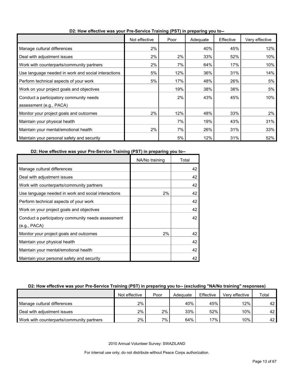|                                                     | Not effective | Poor | Adequate | Effective | Very effective |
|-----------------------------------------------------|---------------|------|----------|-----------|----------------|
| Manage cultural differences                         | 2%            |      | 40%      | 45%       | 12%            |
| Deal with adjustment issues                         | 2%            | 2%   | 33%      | 52%       | 10%            |
| Work with counterparts/community partners           | 2%            | 7%   | 64%      | 17%       | 10%            |
| Use language needed in work and social interactions | 5%            | 12%  | 36%      | 31%       | 14%            |
| Perform technical aspects of your work              | 5%            | 17%  | 48%      | 26%       | 5%             |
| Work on your project goals and objectives           |               | 19%  | 38%      | 38%       | 5%             |
| Conduct a participatory community needs             |               | 2%   | 43%      | 45%       | 10%            |
| assessment (e.g., PACA)                             |               |      |          |           |                |
| Monitor your project goals and outcomes             | 2%            | 12%  | 48%      | 33%       | 2%             |
| Maintain your physical health                       |               | 7%   | 19%      | 43%       | 31%            |
| Maintain your mental/emotional health               | 2%            | 7%   | 26%      | 31%       | 33%            |
| Maintain your personal safety and security          |               | 5%   | 12%      | 31%       | 52%            |

**D2: How effective was your Pre-Service Training (PST) in preparing you to--**

## **D2: How effective was your Pre-Service Training (PST) in preparing you to--**

|                                                     | NA/No training | Total |
|-----------------------------------------------------|----------------|-------|
| Manage cultural differences                         |                | 42    |
| Deal with adjustment issues                         |                | 42    |
| Work with counterparts/community partners           |                | 42    |
| Use language needed in work and social interactions | 2%             | 42    |
| Perform technical aspects of your work              |                | 42    |
| Work on your project goals and objectives           |                | 42    |
| Conduct a participatory community needs assessment  |                | 42    |
| (e.g., PACA)                                        |                |       |
| Monitor your project goals and outcomes             | 2%             | 42    |
| Maintain your physical health                       |                | 42    |
| Maintain your mental/emotional health               |                | 42    |
| Maintain your personal safety and security          |                | 42    |

## **D2: How effective was your Pre-Service Training (PST) in preparing you to-- (excluding "NA/No training" responses)**

|                                           | Not effective | Poor | Adequate | Effective | Verv effective | Total           |
|-------------------------------------------|---------------|------|----------|-----------|----------------|-----------------|
| Manage cultural differences               | 2%            |      | 40%      | 45%       | 12%            | 42 <sub>1</sub> |
| Deal with adjustment issues               | 2%            | 2%1  | 33%      | 52%       | 10%            | 42 <sub>1</sub> |
| Work with counterparts/community partners | $2\%$         | 7%   | 64%      | 17%       | 10%            | 42 <sub>1</sub> |

2010 Annual Volunteer Survey: SWAZILAND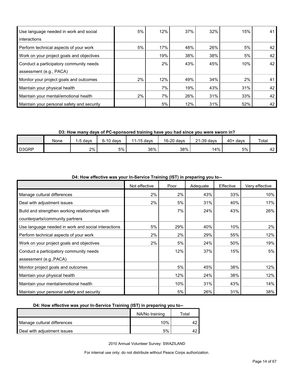| Use language needed in work and social     | 5%    | 12% | 37% | 32% | 15% | 41 |
|--------------------------------------------|-------|-----|-----|-----|-----|----|
| interactions                               |       |     |     |     |     |    |
| Perform technical aspects of your work     | 5%    | 17% | 48% | 26% | 5%  | 42 |
| Work on your project goals and objectives  |       | 19% | 38% | 38% | 5%  | 42 |
| Conduct a participatory community needs    |       | 2%  | 43% | 45% | 10% | 42 |
| assessment (e.g., PACA)                    |       |     |     |     |     |    |
| Monitor your project goals and outcomes    | $2\%$ | 12% | 49% | 34% | 2%  | 41 |
| Maintain your physical health              |       | 7%  | 19% | 43% | 31% | 42 |
| Maintain your mental/emotional health      | $2\%$ | 7%  | 26% | 31% | 33% | 42 |
| Maintain your personal safety and security |       | 5%  | 12% | 31% | 52% | 42 |

**D3: How many days of PC-sponsored training have you had since you were sworn in?**

|       | None | davs<br>ь. | $6-10$ davs | $1-15$ davs<br>14 | 16-20 days | 21-39 days | $40+$<br>davs | Total     |
|-------|------|------------|-------------|-------------------|------------|------------|---------------|-----------|
| D3GRP |      | 2%         | 5%          | 36%               | 38%        | 14%        | 5%            | ໍ່<br>ے 4 |

|                                                     |               |      | $3$ ()  p. op a $3$ job to |           |                |
|-----------------------------------------------------|---------------|------|----------------------------|-----------|----------------|
|                                                     | Not effective | Poor | Adequate                   | Effective | Very effective |
| Manage cultural differences                         | 2%            | 2%   | 43%                        | 33%       | 10%            |
| Deal with adjustment issues                         | 2%            | 5%   | 31%                        | 40%       | 17%            |
| Build and strengthen working relationships with     |               | 7%   | 24%                        | 43%       | 26%            |
| counterparts/community partners                     |               |      |                            |           |                |
| Use language needed in work and social interactions | 5%            | 29%  | 40%                        | 10%       | 2%             |
| Perform technical aspects of your work              | 2%            | 2%   | 29%                        | 55%       | 12%            |
| Work on your project goals and objectives           | $2\%$         | 5%   | 24%                        | 50%       | 19%            |
| Conduct a participatory community needs             |               | 12%  | 37%                        | 15%       | 5%             |
| assessment (e.g., PACA)                             |               |      |                            |           |                |
| Monitor project goals and outcomes                  |               | 5%   | 45%                        | 38%       | 12%            |
| Maintain your physical health                       |               | 12%  | 24%                        | 38%       | 12%            |
| Maintain your mental/emotional health               |               | 10%  | 31%                        | 43%       | 14%            |
| Maintain your personal safety and security          |               | 5%   | 26%                        | 31%       | 38%            |

**D4: How effective was your In-Service Training (IST) in preparing you to--**

## **D4: How effective was your In-Service Training (IST) in preparing you to--**

|                             | NA/No training | Total |
|-----------------------------|----------------|-------|
| Manage cultural differences | $10\%$         |       |
| Deal with adjustment issues | 5%             |       |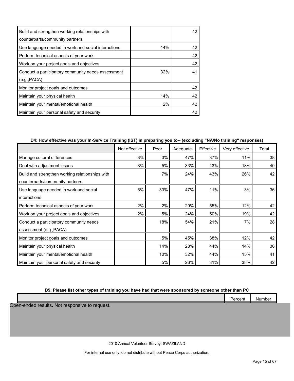| Build and strengthen working relationships with     |     | 42 |
|-----------------------------------------------------|-----|----|
| counterparts/community partners                     |     |    |
| Use language needed in work and social interactions | 14% | 42 |
| Perform technical aspects of your work              |     | 42 |
| Work on your project goals and objectives           |     | 42 |
| Conduct a participatory community needs assessment  | 32% | 41 |
| (e.g., PACA)                                        |     |    |
| Monitor project goals and outcomes                  |     | 42 |
| Maintain your physical health                       | 14% | 42 |
| Maintain your mental/emotional health               | 2%  | 42 |
| Maintain your personal safety and security          |     | 42 |

## **D4: How effective was your In-Service Training (IST) in preparing you to-- (excluding "NA/No training" responses)**

|                                                 | Not effective | Poor | Adequate | Effective | Very effective | Total |
|-------------------------------------------------|---------------|------|----------|-----------|----------------|-------|
| Manage cultural differences                     | 3%            | 3%   | 47%      | 37%       | 11%            | 38    |
| Deal with adjustment issues                     | 3%            | 5%   | 33%      | 43%       | 18%            | 40    |
| Build and strengthen working relationships with |               | 7%   | 24%      | 43%       | 26%            | 42    |
| counterparts/community partners                 |               |      |          |           |                |       |
| Use language needed in work and social          | 6%            | 33%  | 47%      | 11%       | 3%             | 36    |
| interactions                                    |               |      |          |           |                |       |
| Perform technical aspects of your work          | 2%            | 2%   | 29%      | 55%       | 12%            | 42    |
| Work on your project goals and objectives       | 2%            | 5%   | 24%      | 50%       | 19%            | 42    |
| Conduct a participatory community needs         |               | 18%  | 54%      | 21%       | 7%             | 28    |
| assessment (e.g., PACA)                         |               |      |          |           |                |       |
| Monitor project goals and outcomes              |               | 5%   | 45%      | 38%       | 12%            | 42    |
| Maintain your physical health                   |               | 14%  | 28%      | 44%       | 14%            | 36    |
| Maintain your mental/emotional health           |               | 10%  | 32%      | 44%       | 15%            | 41    |
| Maintain your personal safety and security      |               | 5%   | 26%      | 31%       | 38%            | 42    |

## **D5: Please list other types of training you have had that were sponsored by someone other than PC**

|      | __ |            |                         |  |
|------|----|------------|-------------------------|--|
|      |    | . <b>.</b> | . .<br>$ -$<br>mpe<br>. |  |
|      |    |            |                         |  |
| ---- |    |            |                         |  |

Open-ended results. Not responsive to request.

2010 Annual Volunteer Survey: SWAZILAND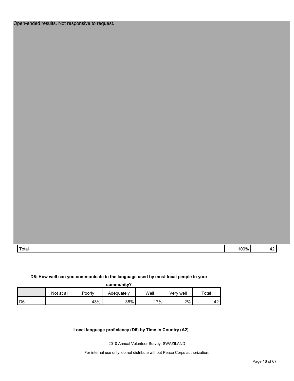Total 100% 42

## **D6: How well can you communicate in the language used by most local people in your**

| community? |
|------------|
|------------|

|      | Not at all | Poorly | Adequately | Well | Verv well | $\tau$ otai |
|------|------------|--------|------------|------|-----------|-------------|
| I D6 |            | 43%    | 38%        | 17%  | 2%        | 42          |

**Local language proficiency (D6) by Time in Country (A2)**

2010 Annual Volunteer Survey: SWAZILAND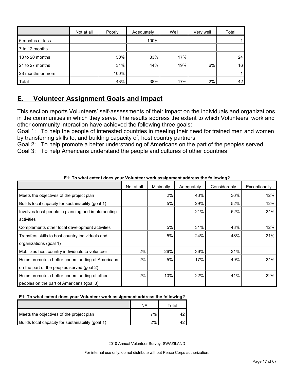|                   | Not at all | Poorly | Adequately | Well | Very well | Total |
|-------------------|------------|--------|------------|------|-----------|-------|
| 6 months or less  |            |        | 100%       |      |           |       |
| 7 to 12 months    |            |        |            |      |           |       |
| 13 to 20 months   |            | 50%    | 33%        | 17%  |           | 24    |
| 21 to 27 months   |            | 31%    | 44%        | 19%  | 6%        | 16    |
| 28 months or more |            | 100%   |            |      |           |       |
| Total             |            | 43%    | 38%        | 17%  | 2%        | 42    |

## <span id="page-16-0"></span>**E. Volunteer Assignment Goals and Impact**

This section reports Volunteers' self-assessments of their impact on the individuals and organizations in the communities in which they serve. The results address the extent to which Volunteers' work and other community interaction have achieved the following three goals:

Goal 1: To help the people of interested countries in meeting their need for trained men and women by transferring skills to, and building capacity of, host country partners

Goal 2: To help promote a better understanding of Americans on the part of the peoples served Goal 3: To help Americans understand the people and cultures of other countries

|                                                    | Not at all | Minimally | Adequately | Considerably | Exceptionally |
|----------------------------------------------------|------------|-----------|------------|--------------|---------------|
| Meets the objectives of the project plan           |            | 2%        | 43%        | 36%          | 12%           |
| Builds local capacity for sustainability (goal 1)  |            | 5%        | 29%        | 52%          | 12%           |
| Involves local people in planning and implementing |            |           | 21%        | 52%          | 24%           |
| activities                                         |            |           |            |              |               |
| Complements other local development activities     |            | 5%        | 31%        | 48%          | 12%           |
| Transfers skills to host country individuals and   |            | 5%        | 24%        | 48%          | 21%           |
| organizations (goal 1)                             |            |           |            |              |               |
| Mobilizes host country individuals to volunteer    | 2%         | 26%       | 36%        | 31%          |               |
| Helps promote a better understanding of Americans  | 2%         | 5%        | 17%        | 49%          | 24%           |
| on the part of the peoples served (goal 2)         |            |           |            |              |               |
| Helps promote a better understanding of other      | 2%         | 10%       | 22%        | 41%          | 22%           |
| peoples on the part of Americans (goal 3)          |            |           |            |              |               |

**E1: To what extent does your Volunteer work assignment address the following?**

## **E1: To what extent does your Volunteer work assignment address the following?**

|                                                   | ΝA | ™otal |
|---------------------------------------------------|----|-------|
| Meets the objectives of the project plan          | 7% |       |
| Builds local capacity for sustainability (goal 1) | 2% |       |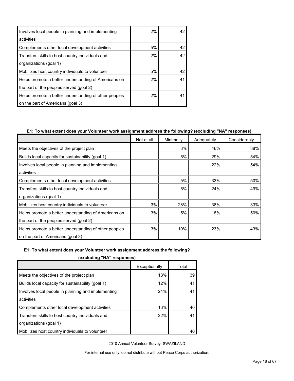| Involves local people in planning and implementing    | 2% | 42 |
|-------------------------------------------------------|----|----|
| activities                                            |    |    |
| Complements other local development activities        | 5% | 42 |
| Transfers skills to host country individuals and      | 2% | 42 |
| organizations (goal 1)                                |    |    |
| Mobilizes host country individuals to volunteer       | 5% | 42 |
| Helps promote a better understanding of Americans on  | 2% | 41 |
| the part of the peoples served (goal 2)               |    |    |
| Helps promote a better understanding of other peoples | 2% | 41 |
| on the part of Americans (goal 3)                     |    |    |

## **E1: To what extent does your Volunteer work assignment address the following? (excluding "NA" responses)**

|                                                       | Not at all | Minimally | Adequately | Considerably |
|-------------------------------------------------------|------------|-----------|------------|--------------|
| Meets the objectives of the project plan              |            | 3%        | 46%        | 38%          |
| Builds local capacity for sustainability (goal 1)     |            | 5%        | 29%        | 54%          |
| Involves local people in planning and implementing    |            |           | 22%        | 54%          |
| activities                                            |            |           |            |              |
| Complements other local development activities        |            | 5%        | 33%        | 50%          |
| Transfers skills to host country individuals and      |            | 5%        | 24%        | 49%          |
| organizations (goal 1)                                |            |           |            |              |
| Mobilizes host country individuals to volunteer       | 3%         | 28%       | 38%        | 33%          |
| Helps promote a better understanding of Americans on  | 3%         | 5%        | 18%        | 50%          |
| the part of the peoples served (goal 2)               |            |           |            |              |
| Helps promote a better understanding of other peoples | 3%         | 10%       | 23%        | 43%          |
| on the part of Americans (goal 3)                     |            |           |            |              |

## **E1: To what extent does your Volunteer work assignment address the following?**

**(excluding "NA" responses)**

|                                                    | Exceptionally | Total |  |  |
|----------------------------------------------------|---------------|-------|--|--|
| Meets the objectives of the project plan           | 13%           | 39    |  |  |
| Builds local capacity for sustainability (goal 1)  | 12%           | 41    |  |  |
| Involves local people in planning and implementing | 24%           | 41    |  |  |
| activities                                         |               |       |  |  |
| Complements other local development activities     | 13%           | 40    |  |  |
| Transfers skills to host country individuals and   | 22%           | 41    |  |  |
| organizations (goal 1)                             |               |       |  |  |
| Mobilizes host country individuals to volunteer    |               | 40    |  |  |
|                                                    |               |       |  |  |

2010 Annual Volunteer Survey: SWAZILAND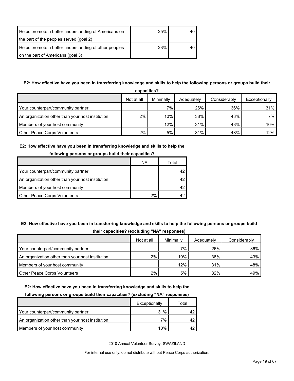| Helps promote a better understanding of Americans on  | 25% | 40 |
|-------------------------------------------------------|-----|----|
| the part of the peoples served (goal 2)               |     |    |
| Helps promote a better understanding of other peoples | 23% | 40 |
| on the part of Americans (goal 3)                     |     |    |

## **E2: How effective have you been in transferring knowledge and skills to help the following persons or groups build their**

| capacities?                                      |            |           |            |              |               |  |  |
|--------------------------------------------------|------------|-----------|------------|--------------|---------------|--|--|
|                                                  | Not at all | Minimally | Adequately | Considerably | Exceptionally |  |  |
| Your counterpart/community partner               |            | $7\%$     | 26%        | 36%          | 31%           |  |  |
| An organization other than your host institution | $2\%$      | 10%       | 38%        | 43%          | 7%            |  |  |
| Members of your host community                   |            | 12%       | 31%        | 48%          | 10%           |  |  |
| Other Peace Corps Volunteers                     | $2\%$      | 5%        | 31%        | 48%          | 12%           |  |  |

## **E2: How effective have you been in transferring knowledge and skills to help the**

| <b>TOROWING DETSURE OF GLOUPS DUNG LITER CAPACITIES:</b> |    |       |  |  |  |  |
|----------------------------------------------------------|----|-------|--|--|--|--|
|                                                          | ΝA | Total |  |  |  |  |
| Your counterpart/community partner                       |    |       |  |  |  |  |
| An organization other than your host institution         |    |       |  |  |  |  |
| Members of your host community                           |    |       |  |  |  |  |
| <b>Other Peace Corps Volunteers</b>                      | 2% |       |  |  |  |  |

## **following persons or groups build their capacities?**

## **E2: How effective have you been in transferring knowledge and skills to help the following persons or groups build their capacities? (excluding "NA" responses)**

|                                                  | -          |           |            |              |
|--------------------------------------------------|------------|-----------|------------|--------------|
|                                                  | Not at all | Minimally | Adequately | Considerably |
| Your counterpart/community partner               |            | 7%        | 26%        | 36%          |
| An organization other than your host institution | 2%         | 10%       | 38%        | 43%          |
| Members of your host community                   |            | 12%       | 31%        | 48%          |
| <b>Other Peace Corps Volunteers</b>              | 2%         | 5%        | 32%        | 49%          |

#### **E2: How effective have you been in transferring knowledge and skills to help the**

#### **following persons or groups build their capacities? (excluding "NA" responses)**

|                                                  | Exceptionally | Total |
|--------------------------------------------------|---------------|-------|
| Your counterpart/community partner               | 31%           |       |
| An organization other than your host institution | 7%            |       |
| Members of your host community                   | 10%           |       |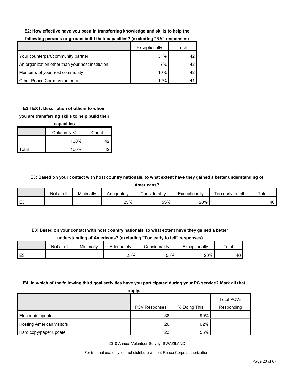#### **E2: How effective have you been in transferring knowledge and skills to help the**

|                                                  | Exceptionally | Total |
|--------------------------------------------------|---------------|-------|
| Your counterpart/community partner               | 31%           |       |
| An organization other than your host institution | 7%            | 42    |
| Members of your host community                   | 10%           | 42    |
| Other Peace Corps Volunteers                     | 12%           |       |

## **following persons or groups build their capacities? (excluding "NA" responses)**

## **E2.TEXT: Description of others to whom**

### **you are transferring skills to help build their**

| capacities |            |       |  |  |
|------------|------------|-------|--|--|
|            | Column N % | Count |  |  |
|            | 100%       | 42    |  |  |
| Total      | 100%       | 42    |  |  |

#### **E3: Based on your contact with host country nationals, to what extent have they gained a better understanding of**

**Americans?**

|    | Not at all | Minimally | Adequatelv | <b>Considerably</b> | Exceptionally | Too early to tell | Total |
|----|------------|-----------|------------|---------------------|---------------|-------------------|-------|
| ∽∟ |            |           | 25%        | 55%                 | 20%           |                   | 40    |

## **E3: Based on your contact with host country nationals, to what extent have they gained a better**

**understanding of Americans? (excluding "Too early to tell" responses)**

|      | Not at all | Minimally | Adequately | onsiderablyٽ | Exceptionally | Total |
|------|------------|-----------|------------|--------------|---------------|-------|
| l E3 |            |           | 25%        | 55%          | 20%           | 40    |

#### **E4: In which of the following third goal activities have you participated during your PC service? Mark all that**

**apply.**

|                                  | .                    |              |                          |
|----------------------------------|----------------------|--------------|--------------------------|
|                                  | <b>PCV Responses</b> | % Doing This | Total PCVs<br>Responding |
|                                  |                      |              |                          |
| Electronic updates               | 38                   | 90%          |                          |
| <b>Hosting American visitors</b> | 26                   | 62%          |                          |
| Hard copy/paper update           | 23                   | 55%          |                          |

2010 Annual Volunteer Survey: SWAZILAND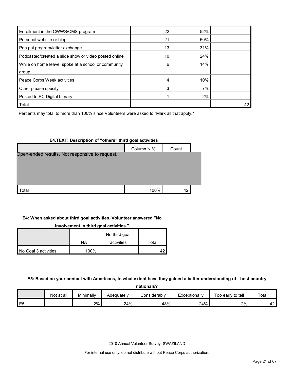| Enrollment in the CWWS/CMS program                    | 22 | 52% |    |
|-------------------------------------------------------|----|-----|----|
| Personal website or blog                              | 21 | 50% |    |
| Pen pal program/letter exchange                       | 13 | 31% |    |
| Podcasted/created a slide show or video posted online | 10 | 24% |    |
| While on home leave, spoke at a school or community   | 6  | 14% |    |
| group                                                 |    |     |    |
| Peace Corps Week activities                           | 4  | 10% |    |
| Other please specify                                  | 3  | 7%  |    |
| Posted to PC Digital Library                          |    | 2%  |    |
| <b>Total</b>                                          |    |     | 42 |

Percents may total to more than 100% since Volunteers were asked to "Mark all that apply."

#### **E4.TEXT: Description of "others" third goal activities**

|                                                | Column N % | Count |  |
|------------------------------------------------|------------|-------|--|
| Open-ended results. Not responsive to request. |            |       |  |
|                                                |            |       |  |
|                                                |            |       |  |
|                                                |            |       |  |
| <b>Total</b>                                   | 100%       | 42    |  |

#### **E4: When asked about third goal activities, Volunteer answered "No**

**involvement in third goal activities."** 

|                      |      | No third goal |       |
|----------------------|------|---------------|-------|
|                      | NA   | activities    | Total |
| No Goal 3 activities | 100% |               |       |

#### **E5: Based on your contact with Americans, to what extent have they gained a better understanding of host country**

**nationals?**

|        | --------------- |           |            |              |               |                   |              |  |  |  |  |
|--------|-----------------|-----------|------------|--------------|---------------|-------------------|--------------|--|--|--|--|
|        | at all<br>Not   | Minimally | Adequately | Considerabl∨ | Exceptionally | Too early to tell | Total        |  |  |  |  |
| ᄃ<br>└ |                 | 2%        | 24%        | 48%          | 24%           | 2%                | $\sim$<br>42 |  |  |  |  |

2010 Annual Volunteer Survey: SWAZILAND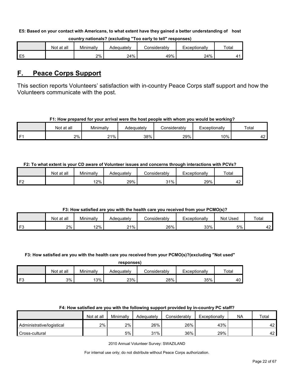#### **E5: Based on your contact with Americans, to what extent have they gained a better understanding of host**

|                | Not at all | Minimally | Adequatelv | :onsiderablv | Exceptionally | Total |
|----------------|------------|-----------|------------|--------------|---------------|-------|
| E <sub>5</sub> |            | 2%        | 24%        | 49%          | 24%           |       |

#### **country nationals? (excluding "Too early to tell" responses)**

## <span id="page-21-0"></span>**F. Peace Corps Support**

This section reports Volunteers' satisfaction with in-country Peace Corps staff support and how the Volunteers communicate with the post.

## **F1: How prepared for your arrival were the host people with whom you would be working?**

|      | Not at all | Minimally | Adequatelv | Considerably | Exceptionally | Total                                  |
|------|------------|-----------|------------|--------------|---------------|----------------------------------------|
| l F1 | 2%         | 21%       | 38%        | 29%          | 10%           | $\ddot{\phantom{1}}$<br>⊶<br><u>гд</u> |

## **F2: To what extent is your CD aware of Volunteer issues and concerns through interactions with PCVs?**

|    | Not at all | Minimally | Adequately | Considerably | Exceptionally | Total |
|----|------------|-----------|------------|--------------|---------------|-------|
| 旧り |            | 12%       | 29%        | 31%          | 29%           | ໍດ    |

## **F3: How satisfied are you with the health care you received from your PCMO(s)?**

|    | at all<br>Not | Minimally | Adeɑuatelv | Considerably | ∟xceptionallv | Used<br>Not | Total     |
|----|---------------|-----------|------------|--------------|---------------|-------------|-----------|
| FЗ | 2%            | 2%        | 21%        | 26%          | 33%           | 5%          | . הי<br>╍ |

#### **F3: How satisfied are you with the health care you received from your PCMO(s)?(excluding "Not used"**

| responses) |  |
|------------|--|
|            |  |

|       | ∶at all<br>Not | Minimally | Adequatelv | こonsiderablv | Exceptionally | Total |
|-------|----------------|-----------|------------|--------------|---------------|-------|
| ⊿ ⊏?i | 3%             | 13%       | 23%        | 28%          | 35%           | 40    |

## **F4: How satisfied are you with the following support provided by in-country PC staff?**

|                           | Not at all | Minimally | Adequately | Considerably | Exceptionally | <b>NA</b> | Total |
|---------------------------|------------|-----------|------------|--------------|---------------|-----------|-------|
| Administrative/logistical | 2%         | 2%        | 26%        | 26%          | 43%           |           | 42    |
| Cross-cultural            |            | 5%        | 31%        | 36%          | 29%           |           | 42    |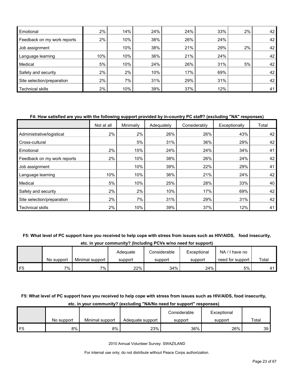| Emotional                   | $2\%$ | 14% | 24% | 24% | 33% | 2% | 42 |
|-----------------------------|-------|-----|-----|-----|-----|----|----|
| Feedback on my work reports | 2%    | 10% | 38% | 26% | 24% |    | 42 |
| Job assignment              |       | 10% | 38% | 21% | 29% | 2% | 42 |
| Language learning           | 10%   | 10% | 36% | 21% | 24% |    | 42 |
| Medical                     | 5%    | 10% | 24% | 26% | 31% | 5% | 42 |
| Safety and security         | $2\%$ | 2%  | 10% | 17% | 69% |    | 42 |
| Site selection/preparation  | $2\%$ | 7%  | 31% | 29% | 31% |    | 42 |
| Technical skills            | 2%    | 10% | 39% | 37% | 12% |    | 41 |

#### **F4: How satisfied are you with the following support provided by in-country PC staff? (excluding "NA" responses)**

|                             | Not at all | Minimally | Adequately | Considerably | Exceptionally | Total |
|-----------------------------|------------|-----------|------------|--------------|---------------|-------|
| Administrative/logistical   | 2%         | 2%        | 26%        | 26%          | 43%           | 42    |
| Cross-cultural              |            | 5%        | 31%        | 36%          | 29%           | 42    |
| Emotional                   | 2%         | 15%       | 24%        | 24%          | 34%           | 41    |
| Feedback on my work reports | 2%         | 10%       | 38%        | 26%          | 24%           | 42    |
| Job assignment              |            | 10%       | 39%        | 22%          | 29%           | 41    |
| Language learning           | 10%        | 10%       | 36%        | 21%          | 24%           | 42    |
| Medical                     | 5%         | 10%       | 25%        | 28%          | 33%           | 40    |
| Safety and security         | 2%         | 2%        | 10%        | 17%          | 69%           | 42    |
| Site selection/preparation  | 2%         | 7%        | 31%        | 29%          | 31%           | 42    |
| <b>Technical skills</b>     | 2%         | 10%       | 39%        | 37%          | 12%           | 41    |

#### **F5: What level of PC support have you received to help cope with stress from issues such as HIV/AIDS, food insecurity,**

**etc. in your community? (Including PCVs w/no need for support)**

|    |            |                 | Adeauate | Considerable | Exceptional | NA.<br>I have no |       |
|----|------------|-----------------|----------|--------------|-------------|------------------|-------|
|    | No support | Minimal support | support  | support      | support     | need for support | Total |
| F5 | 7%         | $7\%$           | 22%      | 34%          | 24%         | 5%               | 41    |

## **F5: What level of PC support have you received to help cope with stress from issues such as HIV/AIDS, food insecurity,**

#### **etc. in your community? (excluding "NA/No need for support" responses)** No support | Minimal support | Adequate support Considerable support Exceptional support **Total** F5 8% | 8% | 23% | 36% | 26% | 39

2010 Annual Volunteer Survey: SWAZILAND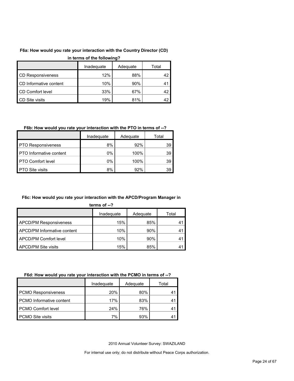## **F6a: How would you rate your interaction with the Country Director (CD)**

| in terms of the following? |  |
|----------------------------|--|
|----------------------------|--|

|                          | Inadequate | Adequate | Total |
|--------------------------|------------|----------|-------|
| <b>CD Responsiveness</b> | 12%        | 88%      |       |
| CD Informative content   | 10%        | 90%      |       |
| CD Comfort level         | 33%        | 67%      |       |
| CD Site visits           | 19%        | 81%      |       |

## **F6b: How would you rate your interaction with the PTO in terms of --?**

|                                | Inadequate | Adequate | Total |
|--------------------------------|------------|----------|-------|
| <b>PTO Responsiveness</b>      | 8%         | 92%      | 39    |
| <b>PTO</b> Informative content | $0\%$      | 100%     | 39    |
| <b>PTO Comfort level</b>       | 0%         | 100%     | 39    |
| <b>PTO Site visits</b>         | 8%         | 92%      | 39    |

## **F6c: How would you rate your interaction with the APCD/Program Manager in**

|--|

|                                    | Inadequate | Adequate | Total |
|------------------------------------|------------|----------|-------|
| <b>APCD/PM Responsiveness</b>      | 15%        | 85%      |       |
| <b>APCD/PM Informative content</b> | 10%        | 90%      |       |
| APCD/PM Comfort level              | 10%        | 90%      |       |
| <b>APCD/PM Site visits</b>         | 15%        | 85%      |       |

## **F6d: How would you rate your interaction with the PCMO in terms of --?**

|                                 | Inadeguate | Adequate | Total |
|---------------------------------|------------|----------|-------|
| <b>PCMO Responsiveness</b>      | 20%        | 80%      |       |
| <b>PCMO</b> Informative content | 17%        | 83%      |       |
| PCMO Comfort level              | 24%        | 76%      |       |
| <b>PCMO Site visits</b>         | 7%         | 93%      |       |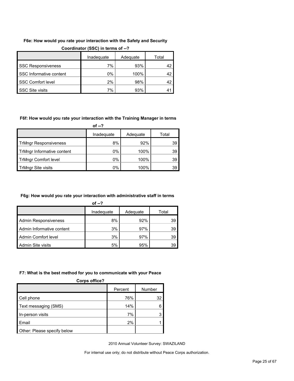## **F6e: How would you rate your interaction with the Safety and Security**

|                           | Inadequate | Adequate | Total |
|---------------------------|------------|----------|-------|
| <b>SSC Responsiveness</b> | 7%         | 93%      |       |
| SSC Informative content   | $0\%$      | 100%     | 42    |
| <b>SSC Comfort level</b>  | 2%         | 98%      |       |
| <b>SSC Site visits</b>    | 7%         | 93%      |       |

#### **Coordinator (SSC) in terms of --?**

#### **F6f: How would you rate your interaction with the Training Manager in terms**

**of --?**

|                              | Inadequate | Adequate | Total |
|------------------------------|------------|----------|-------|
| <b>TrMngr Responsiveness</b> | 8%         | 92%      | 39    |
| TrMngr Informative content   | 0%         | 100%     | 39    |
| <b>TrMngr Comfort level</b>  | 0%         | 100%     | 39    |
| TrMngr Site visits           | 0%         | 100%     | 39    |

#### **F6g: How would you rate your interaction with administrative staff in terms**

| of $-2$                     |            |          |       |
|-----------------------------|------------|----------|-------|
|                             | Inadequate | Adequate | Total |
| <b>Admin Responsiveness</b> | 8%         | 92%      | 39    |
| Admin Informative content   | 3%         | 97%      | 39    |
| Admin Comfort level         | 3%         | 97%      | 39    |
| <b>Admin Site visits</b>    | 5%         | 95%      | 39    |

#### **F7: What is the best method for you to communicate with your Peace**

| <b>Corps office?</b>        |         |        |
|-----------------------------|---------|--------|
|                             | Percent | Number |
| Cell phone                  | 76%     | 32     |
| Text messaging (SMS)        | 14%     |        |
| In-person visits            | 7%      |        |
| Email                       | 2%      |        |
| Other: Please specify below |         |        |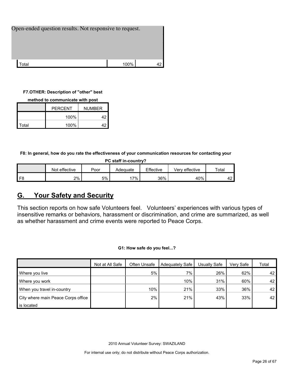| Open-ended question results. Not responsive to request. |      |  |
|---------------------------------------------------------|------|--|
|                                                         |      |  |
|                                                         |      |  |
| Гоtal                                                   | 100% |  |

## **F7.OTHER: Description of "other" best**

|       | <b>PERCENT</b> | <b>NUMBER</b> |
|-------|----------------|---------------|
|       | 100%           | 42            |
| Total | 100%           | 42            |

**F8: In general, how do you rate the effectiveness of your communication resources for contacting your** 

| PC staff in-country? |               |      |          |           |                |             |  |  |  |
|----------------------|---------------|------|----------|-----------|----------------|-------------|--|--|--|
|                      | Not effective | Poor | Adequate | Effective | Verv effective | $\tau$ otal |  |  |  |
| F <sub>8</sub>       | 2%            | 5%   | $.7\%$   | 36%       | 40%            | 42          |  |  |  |

## <span id="page-25-0"></span>**G. Your Safety and Security**

This section reports on how safe Volunteers feel. Volunteers' experiences with various types of insensitive remarks or behaviors, harassment or discrimination, and crime are summarized, as well as whether harassment and crime events were reported to Peace Corps.

**G1: How safe do you feel...?**

|                                    | Not at All Safe | Often Unsafe | Adequately Safe | Usually Safe | Very Safe | Total |
|------------------------------------|-----------------|--------------|-----------------|--------------|-----------|-------|
| Where you live                     |                 | 5%           | 7%              | 26%          | 62%       | 42    |
| Where you work                     |                 |              | 10%             | 31%          | 60%       | 42    |
| When you travel in-country         |                 | 10%          | 21%             | 33%          | 36%       | 42    |
| City where main Peace Corps office |                 | 2%           | 21%             | 43%          | 33%       | 42    |
| is located                         |                 |              |                 |              |           |       |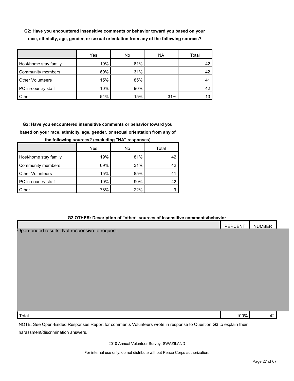**G2: Have you encountered insensitive comments or behavior toward you based on your race, ethnicity, age, gender, or sexual orientation from any of the following sources?**

|                         | Yes | No  | <b>NA</b> | Total |
|-------------------------|-----|-----|-----------|-------|
| Host/home stay family   | 19% | 81% |           | 42    |
| Community members       | 69% | 31% |           | 42    |
| <b>Other Volunteers</b> | 15% | 85% |           | 4     |
| PC in-country staff     | 10% | 90% |           |       |
| Other                   | 54% | 15% | 31%       |       |

**G2: Have you encountered insensitive comments or behavior toward you based on your race, ethnicity, age, gender, or sexual orientation from any of** 

|                         | Yes | No  | Total |
|-------------------------|-----|-----|-------|
| Host/home stay family   | 19% | 81% | 42    |
| Community members       | 69% | 31% | 42    |
| <b>Other Volunteers</b> | 15% | 85% | 41    |
| PC in-country staff     | 10% | 90% | 42    |
| Other                   | 78% | 22% | я     |

**the following sources? (excluding "NA" responses)**

#### **G2.OTHER: Description of "other" sources of insensitive comments/behavior**

|                                                                                                                 | PERCENT | <b>NUMBER</b> |
|-----------------------------------------------------------------------------------------------------------------|---------|---------------|
| Open-ended results. Not responsive to request.                                                                  |         |               |
|                                                                                                                 |         |               |
|                                                                                                                 |         |               |
|                                                                                                                 |         |               |
|                                                                                                                 |         |               |
|                                                                                                                 |         |               |
|                                                                                                                 |         |               |
|                                                                                                                 |         |               |
|                                                                                                                 |         |               |
|                                                                                                                 |         |               |
| Total                                                                                                           | 100%    | 42            |
| NOTE: See Open-Ended Responses Report for comments Volunteers wrote in response to Question G3 to explain their |         |               |
| harassment/discrimination answers.                                                                              |         |               |

2010 Annual Volunteer Survey: SWAZILAND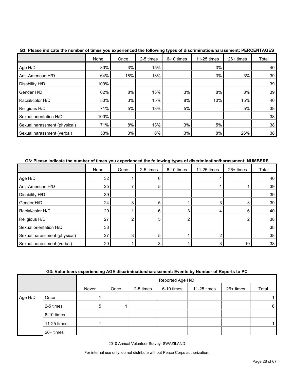|                              | None | Once | 2-5 times | 6-10 times | 11-25 times | 26+ times | Total |
|------------------------------|------|------|-----------|------------|-------------|-----------|-------|
| Age H/D                      | 80%  | 3%   | 15%       |            | 3%          |           | 40    |
| Anti-American H/D            | 64%  | 18%  | 13%       |            | 3%          | 3%        | 39    |
| Disability H/D               | 100% |      |           |            |             |           | 39    |
| Gender H/D                   | 62%  | 8%   | 13%       | 3%         | 8%          | 8%        | 39    |
| Racial/color H/D             | 50%  | 3%   | 15%       | 8%         | 10%         | 15%       | 40    |
| Religious H/D                | 71%  | 5%   | 13%       | 5%         |             | 5%        | 38    |
| Sexual orientation H/D       | 100% |      |           |            |             |           | 38    |
| Sexual harassment (physical) | 71%  | 8%   | 13%       | 3%         | 5%          |           | 38    |
| Sexual harassment (verbal)   | 53%  | 3%   | 8%        | 3%         | 8%          | 26%       | 38    |

**G3: Please indicate the number of times you experienced the following types of discrimination/harassment: PERCENTAGES**

## **G3: Please indicate the number of times you experienced the following types of discrimination/harassment: NUMBERS**

|                              | None            | Once | 2-5 times | 6-10 times | 11-25 times | 26+ times | Total |
|------------------------------|-----------------|------|-----------|------------|-------------|-----------|-------|
| Age H/D                      | 32 <sup>2</sup> |      | 6         |            |             |           | 40    |
| Anti-American H/D            | 25              |      | 5         |            |             |           | 39    |
| Disability H/D               | 39              |      |           |            |             |           | 39    |
| Gender H/D                   | 24              | 3    | 5         |            |             | 3         | 39    |
| Racial/color H/D             | 20              |      | 6         | 3          | 4           | 6         | 40    |
| Religious H/D                | 27              | 2    | 5         |            |             | ◠         | 38    |
| Sexual orientation H/D       | 38              |      |           |            |             |           | 38    |
| Sexual harassment (physical) | 27              | 3    | 5         |            |             |           | 38    |
| Sexual harassment (verbal)   | 20 <sub>1</sub> |      |           |            |             | 10        | 38    |

## **G3: Volunteers experiencing AGE discrimination/harassment: Events by Number of Reports to PC**

|         |             |       | Reported Age H/D |           |            |             |           |                 |
|---------|-------------|-------|------------------|-----------|------------|-------------|-----------|-----------------|
|         |             | Never | Once             | 2-5 times | 6-10 times | 11-25 times | 26+ times | Total           |
| Age H/D | Once        |       |                  |           |            |             |           |                 |
|         | 2-5 times   | 5     |                  |           |            |             |           | $6\phantom{.}6$ |
|         | 6-10 times  |       |                  |           |            |             |           |                 |
|         | 11-25 times |       |                  |           |            |             |           |                 |
|         | 26+ times   |       |                  |           |            |             |           |                 |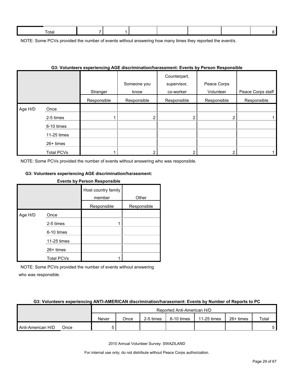| 0ta |  |  |  |  |
|-----|--|--|--|--|
|     |  |  |  |  |

NOTE: Some PCVs provided the number of events without answering how many times they reported the event/s.

|         |                   |             | OS. VOIDINEEIS EXPENENCING AOE GISCHININGUONIGIASSINENI. EVENIS DY PEISON RESPONSIDIE |                                          |                          |                   |
|---------|-------------------|-------------|---------------------------------------------------------------------------------------|------------------------------------------|--------------------------|-------------------|
|         |                   | Stranger    | Someone you<br>know                                                                   | Counterpart,<br>supervisor,<br>co-worker | Peace Corps<br>Volunteer | Peace Corps staff |
|         |                   | Responsible | Responsible                                                                           | Responsible                              | Responsible              | Responsible       |
| Age H/D | Once              |             |                                                                                       |                                          |                          |                   |
|         | 2-5 times         |             | 2                                                                                     |                                          | 2                        |                   |
|         | 6-10 times        |             |                                                                                       |                                          |                          |                   |
|         | 11-25 times       |             |                                                                                       |                                          |                          |                   |
|         | 26+ times         |             |                                                                                       |                                          |                          |                   |
|         | <b>Total PCVs</b> |             |                                                                                       |                                          |                          |                   |

## **G3: Volunteers experiencing AGE discrimination/harassment: Events by Person Responsible**

NOTE: Some PCVs provided the number of events without answering who was responsible.

#### **G3: Volunteers experiencing AGE discrimination/harassment:**

|         | <b>Events by Person Responsible</b> |                               |             |  |  |  |  |  |
|---------|-------------------------------------|-------------------------------|-------------|--|--|--|--|--|
|         |                                     | Host country family<br>member | Other       |  |  |  |  |  |
|         |                                     | Responsible                   | Responsible |  |  |  |  |  |
| Age H/D | Once                                |                               |             |  |  |  |  |  |
|         | 2-5 times                           |                               |             |  |  |  |  |  |
|         | 6-10 times                          |                               |             |  |  |  |  |  |
|         | 11-25 times                         |                               |             |  |  |  |  |  |
|         | $26+$ times                         |                               |             |  |  |  |  |  |
|         | <b>Total PCVs</b>                   |                               |             |  |  |  |  |  |

NOTE: Some PCVs provided the number of events without answering who was responsible.

#### **G3: Volunteers experiencing ANTI-AMERICAN discrimination/harassment: Events by Number of Reports to PC**

|                   |      |       |      | Reported Anti-American H/D |            |             |           |       |
|-------------------|------|-------|------|----------------------------|------------|-------------|-----------|-------|
|                   |      | Never | Once | 2-5 times                  | 6-10 times | 11-25 times | 26+ times | Total |
| Anti-American H/D | Once |       |      |                            |            |             |           |       |

2010 Annual Volunteer Survey: SWAZILAND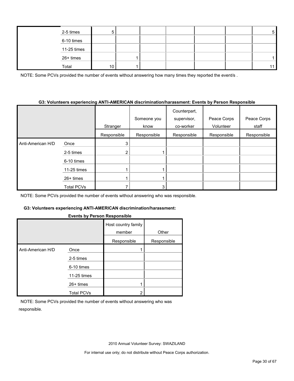|  | 2-5 times   | 5  |  |  | 5  |
|--|-------------|----|--|--|----|
|  | 6-10 times  |    |  |  |    |
|  | 11-25 times |    |  |  |    |
|  | 26+ times   |    |  |  |    |
|  | Total       | 10 |  |  | 11 |

NOTE: Some PCVs provided the number of events without answering how many times they reported the event/s.

#### **G3: Volunteers experiencing ANTI-AMERICAN discrimination/harassment: Events by Person Responsible**

|                   |                   | Stranger       | Someone you<br>know | Counterpart,<br>supervisor,<br>co-worker | Peace Corps<br>Volunteer | Peace Corps<br>staff |
|-------------------|-------------------|----------------|---------------------|------------------------------------------|--------------------------|----------------------|
|                   |                   | Responsible    | Responsible         | Responsible                              | Responsible              | Responsible          |
| Anti-American H/D | Once              | 3              |                     |                                          |                          |                      |
|                   | 2-5 times         | $\overline{2}$ |                     |                                          |                          |                      |
|                   | 6-10 times        |                |                     |                                          |                          |                      |
|                   | 11-25 times       |                |                     |                                          |                          |                      |
|                   | $26+$ times       |                |                     |                                          |                          |                      |
|                   | <b>Total PCVs</b> |                | 3                   |                                          |                          |                      |

NOTE: Some PCVs provided the number of events without answering who was responsible.

#### **G3: Volunteers experiencing ANTI-AMERICAN discrimination/harassment:**

#### **Events by Person Responsible**

|                   |                   | Host country family<br>member | Other       |
|-------------------|-------------------|-------------------------------|-------------|
|                   |                   | Responsible                   | Responsible |
| Anti-American H/D | Once              |                               |             |
|                   | 2-5 times         |                               |             |
|                   | 6-10 times        |                               |             |
|                   | 11-25 times       |                               |             |
|                   | $26+$ times       |                               |             |
|                   | <b>Total PCVs</b> | 2                             |             |

NOTE: Some PCVs provided the number of events without answering who was responsible.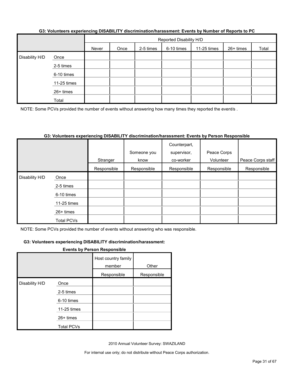|                |             | Reported Disability H/D |      |           |            |             |           |       |
|----------------|-------------|-------------------------|------|-----------|------------|-------------|-----------|-------|
|                |             | Never                   | Once | 2-5 times | 6-10 times | 11-25 times | 26+ times | Total |
| Disability H/D | Once        |                         |      |           |            |             |           |       |
|                | 2-5 times   |                         |      |           |            |             |           |       |
|                | 6-10 times  |                         |      |           |            |             |           |       |
|                | 11-25 times |                         |      |           |            |             |           |       |
|                | 26+ times   |                         |      |           |            |             |           |       |
|                | Total       |                         |      |           |            |             |           |       |

#### **G3: Volunteers experiencing DISABILITY discrimination/harassment: Events by Number of Reports to PC**

NOTE: Some PCVs provided the number of events without answering how many times they reported the event/s.

#### **G3: Volunteers experiencing DISABILITY discrimination/harassment: Events by Person Responsible**

|                |             |             | Someone you | Counterpart,<br>supervisor, | Peace Corps |                   |
|----------------|-------------|-------------|-------------|-----------------------------|-------------|-------------------|
|                |             |             | know        | co-worker                   | Volunteer   | Peace Corps staff |
|                |             | Stranger    |             |                             |             |                   |
|                |             | Responsible | Responsible | Responsible                 | Responsible | Responsible       |
| Disability H/D | Once        |             |             |                             |             |                   |
|                | 2-5 times   |             |             |                             |             |                   |
|                | 6-10 times  |             |             |                             |             |                   |
|                | 11-25 times |             |             |                             |             |                   |
|                | 26+ times   |             |             |                             |             |                   |
|                | Total PCVs  |             |             |                             |             |                   |

NOTE: Some PCVs provided the number of events without answering who was responsible.

#### **G3: Volunteers experiencing DISABILITY discrimination/harassment:**

#### **Events by Person Responsible**

|                |                   | Host country family<br>member | Other       |
|----------------|-------------------|-------------------------------|-------------|
|                |                   | Responsible                   | Responsible |
| Disability H/D | Once              |                               |             |
|                | 2-5 times         |                               |             |
|                | 6-10 times        |                               |             |
|                | 11-25 times       |                               |             |
|                | 26+ times         |                               |             |
|                | <b>Total PCVs</b> |                               |             |

2010 Annual Volunteer Survey: SWAZILAND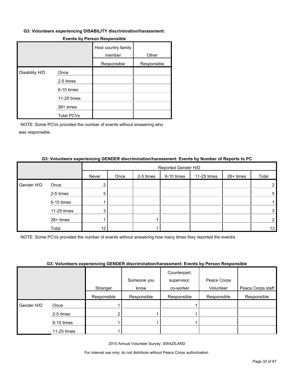#### **G3: Volunteers experiencing DISABILITY discrimination/harassment:**

|                |                   | Host country family<br>member | Other       |
|----------------|-------------------|-------------------------------|-------------|
|                |                   | Responsible                   | Responsible |
| Disability H/D | Once              |                               |             |
|                | 2-5 times         |                               |             |
|                | 6-10 times        |                               |             |
|                | 11-25 times       |                               |             |
|                | 26+ times         |                               |             |
|                | <b>Total PCVs</b> |                               |             |

#### **Events by Person Responsible**

NOTE: Some PCVs provided the number of events without answering who was responsible.

|            |             | Reported Gender H/D |      |           |            |             |           |                |  |
|------------|-------------|---------------------|------|-----------|------------|-------------|-----------|----------------|--|
|            |             | Never               | Once | 2-5 times | 6-10 times | 11-25 times | 26+ times | Total          |  |
| Gender H/D | Once        |                     |      |           |            |             |           | $\overline{2}$ |  |
|            | 2-5 times   | 5                   |      |           |            |             |           | 5              |  |
|            | 6-10 times  |                     |      |           |            |             |           |                |  |
|            | 11-25 times | 3                   |      |           |            |             |           | 3 <sub>1</sub> |  |
|            | 26+ times   |                     |      |           |            |             |           | $\overline{2}$ |  |
|            | Total       | 12                  |      |           |            |             |           | 13             |  |

#### **G3: Volunteers experiencing GENDER discrimination/harassment: Events by Number of Reports to PC**

NOTE: Some PCVs provided the number of events without answering how many times they reported the event/s .

#### **G3: Volunteers experiencing GENDER discrimination/harassment: Events by Person Responsible**

|            |             |             |             | Counterpart, |             |                   |
|------------|-------------|-------------|-------------|--------------|-------------|-------------------|
|            |             |             | Someone you | supervisor,  | Peace Corps |                   |
|            |             | Stranger    | know        | co-worker    | Volunteer   | Peace Corps staff |
|            |             | Responsible | Responsible | Responsible  | Responsible | Responsible       |
| Gender H/D | Once        |             |             |              |             |                   |
|            | 2-5 times   |             |             |              |             |                   |
|            | 6-10 times  |             |             |              |             |                   |
|            | 11-25 times |             |             |              |             |                   |

2010 Annual Volunteer Survey: SWAZILAND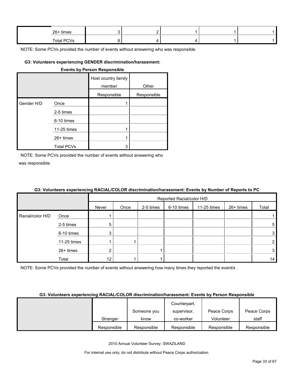| 26+ times  | . . |  |  |
|------------|-----|--|--|
| Total PCVs |     |  |  |

ä,

NOTE: Some PCVs provided the number of events without answering who was responsible.

#### **G3: Volunteers experiencing GENDER discrimination/harassment:**

| <b>Events by Person Responsible</b> |  |
|-------------------------------------|--|
|                                     |  |

|            |                   | Host country family |             |
|------------|-------------------|---------------------|-------------|
|            |                   | member              | Other       |
|            |                   | Responsible         | Responsible |
| Gender H/D | Once              |                     |             |
|            | 2-5 times         |                     |             |
|            | 6-10 times        |                     |             |
|            | 11-25 times       | 1                   |             |
|            | $26+$ times       | 1                   |             |
|            | <b>Total PCVs</b> | 3                   |             |

NOTE: Some PCVs provided the number of events without answering who was responsible.

|                  |             | Reported Racial/color H/D |      |           |            |             |           |                |
|------------------|-------------|---------------------------|------|-----------|------------|-------------|-----------|----------------|
|                  |             | Never                     | Once | 2-5 times | 6-10 times | 11-25 times | 26+ times | Total          |
| Racial/color H/D | Once        |                           |      |           |            |             |           |                |
|                  | 2-5 times   | 5                         |      |           |            |             |           | 5              |
|                  | 6-10 times  | 3                         |      |           |            |             |           | $3 \mid$       |
|                  | 11-25 times |                           |      |           |            |             |           | $\overline{2}$ |
|                  | 26+ times   | 2                         |      |           |            |             |           | 3              |
|                  | Total       | 12                        |      |           |            |             |           | 14             |

NOTE: Some PCVs provided the number of events without answering how many times they reported the event/s .

## **G3: Volunteers experiencing RACIAL/COLOR discrimination/harassment: Events by Person Responsible**

|             |             | Counterpart, |             |             |
|-------------|-------------|--------------|-------------|-------------|
|             | Someone you | supervisor,  | Peace Corps | Peace Corps |
| Stranger    | know        | co-worker    | Volunteer   | staff       |
| Responsible | Responsible | Responsible  | Responsible | Responsible |

2010 Annual Volunteer Survey: SWAZILAND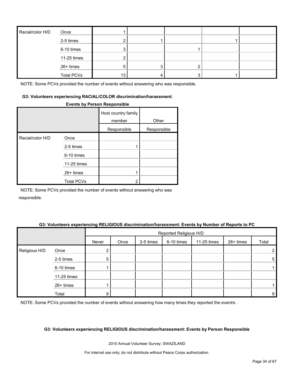| Racial/color H/D | Once              |    |   |  |
|------------------|-------------------|----|---|--|
|                  | 2-5 times         |    |   |  |
|                  | 6-10 times        |    |   |  |
|                  | 11-25 times       |    |   |  |
|                  | 26+ times         | 5  | ◠ |  |
|                  | <b>Total PCVs</b> | 13 | 3 |  |

NOTE: Some PCVs provided the number of events without answering who was responsible.

#### **G3: Volunteers experiencing RACIAL/COLOR discrimination/harassment:**

#### **Events by Person Responsible**

|                  |                   | Host country family<br>member | Other       |
|------------------|-------------------|-------------------------------|-------------|
|                  |                   | Responsible                   | Responsible |
| Racial/color H/D | Once              |                               |             |
|                  | 2-5 times         |                               |             |
|                  | 6-10 times        |                               |             |
|                  | 11-25 times       |                               |             |
|                  | $26+$ times       |                               |             |
|                  | <b>Total PCVs</b> | 2                             |             |

NOTE: Some PCVs provided the number of events without answering who was responsible.

#### **G3: Volunteers experiencing RELIGIOUS discrimination/harassment: Events by Number of Reports to PC**

|               |             | Reported Religious H/D |      |           |            |             |           |       |
|---------------|-------------|------------------------|------|-----------|------------|-------------|-----------|-------|
|               |             | Never                  | Once | 2-5 times | 6-10 times | 11-25 times | 26+ times | Total |
| Religious H/D | Once        |                        |      |           |            |             |           |       |
|               | 2-5 times   | 5                      |      |           |            |             |           | 5     |
|               | 6-10 times  |                        |      |           |            |             |           |       |
|               | 11-25 times |                        |      |           |            |             |           |       |
|               | 26+ times   |                        |      |           |            |             |           |       |
|               | Total       | 9                      |      |           |            |             |           | 9     |

NOTE: Some PCVs provided the number of events without answering how many times they reported the event/s.

#### **G3: Volunteers experiencing RELIGIOUS discrimination/harassment: Events by Person Responsible**

2010 Annual Volunteer Survey: SWAZILAND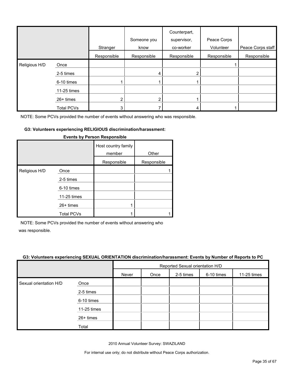|               |                   | Stranger       | Someone you<br>know | Counterpart,<br>supervisor,<br>co-worker | Peace Corps<br>Volunteer | Peace Corps staff |
|---------------|-------------------|----------------|---------------------|------------------------------------------|--------------------------|-------------------|
|               |                   | Responsible    | Responsible         | Responsible                              | Responsible              | Responsible       |
| Religious H/D | Once              |                |                     |                                          |                          |                   |
|               | 2-5 times         |                |                     | 2                                        |                          |                   |
|               | 6-10 times        |                |                     |                                          |                          |                   |
|               | 11-25 times       |                |                     |                                          |                          |                   |
|               | 26+ times         | $\overline{2}$ |                     |                                          |                          |                   |
|               | <b>Total PCVs</b> | 3              |                     | 4                                        |                          |                   |

NOTE: Some PCVs provided the number of events without answering who was responsible.

#### **G3: Volunteers experiencing RELIGIOUS discrimination/harassment:**

|               |                   | Host country family<br>member | Other       |
|---------------|-------------------|-------------------------------|-------------|
|               |                   | Responsible                   | Responsible |
| Religious H/D | Once              |                               |             |
|               | 2-5 times         |                               |             |
|               | 6-10 times        |                               |             |
|               | 11-25 times       |                               |             |
|               | $26+$ times       |                               |             |
|               | <b>Total PCVs</b> |                               |             |

#### **Events by Person Responsible**

NOTE: Some PCVs provided the number of events without answering who

was responsible.

#### **G3: Volunteers experiencing SEXUAL ORIENTATION discrimination/harassment: Events by Number of Reports to PC**

|                        |             |       | Reported Sexual orientation H/D |           |            |             |
|------------------------|-------------|-------|---------------------------------|-----------|------------|-------------|
|                        |             | Never | Once                            | 2-5 times | 6-10 times | 11-25 times |
| Sexual orientation H/D | Once        |       |                                 |           |            |             |
|                        | 2-5 times   |       |                                 |           |            |             |
|                        | 6-10 times  |       |                                 |           |            |             |
|                        | 11-25 times |       |                                 |           |            |             |
|                        | 26+ times   |       |                                 |           |            |             |
|                        | Total       |       |                                 |           |            |             |

2010 Annual Volunteer Survey: SWAZILAND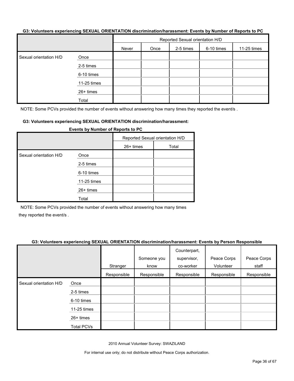#### **G3: Volunteers experiencing SEXUAL ORIENTATION discrimination/harassment: Events by Number of Reports to PC**

|                        |             | Reported Sexual orientation H/D |      |           |            |             |
|------------------------|-------------|---------------------------------|------|-----------|------------|-------------|
|                        |             | Never                           | Once | 2-5 times | 6-10 times | 11-25 times |
| Sexual orientation H/D | Once        |                                 |      |           |            |             |
|                        | 2-5 times   |                                 |      |           |            |             |
|                        | 6-10 times  |                                 |      |           |            |             |
|                        | 11-25 times |                                 |      |           |            |             |
|                        | 26+ times   |                                 |      |           |            |             |
|                        | Total       |                                 |      |           |            |             |

NOTE: Some PCVs provided the number of events without answering how many times they reported the event/s.

#### **G3: Volunteers experiencing SEXUAL ORIENTATION discrimination/harassment:**

| <b>Events by Number of Reports to PC</b> |             |                                 |       |  |  |
|------------------------------------------|-------------|---------------------------------|-------|--|--|
|                                          |             | Reported Sexual orientation H/D |       |  |  |
|                                          |             | $26+$ times                     | Total |  |  |
| Sexual orientation H/D                   | Once        |                                 |       |  |  |
|                                          | 2-5 times   |                                 |       |  |  |
|                                          | 6-10 times  |                                 |       |  |  |
|                                          | 11-25 times |                                 |       |  |  |
|                                          | $26+$ times |                                 |       |  |  |
|                                          | Total       |                                 |       |  |  |

NOTE: Some PCVs provided the number of events without answering how many times they reported the event/s .

#### **G3: Volunteers experiencing SEXUAL ORIENTATION discrimination/harassment: Events by Person Responsible**

|                        |                   | Stranger    | Someone you<br>know | Counterpart,<br>supervisor,<br>co-worker | Peace Corps<br>Volunteer | Peace Corps<br>staff |
|------------------------|-------------------|-------------|---------------------|------------------------------------------|--------------------------|----------------------|
|                        |                   | Responsible | Responsible         | Responsible                              | Responsible              | Responsible          |
| Sexual orientation H/D | Once              |             |                     |                                          |                          |                      |
|                        | 2-5 times         |             |                     |                                          |                          |                      |
|                        | 6-10 times        |             |                     |                                          |                          |                      |
|                        | 11-25 times       |             |                     |                                          |                          |                      |
|                        | 26+ times         |             |                     |                                          |                          |                      |
|                        | <b>Total PCVs</b> |             |                     |                                          |                          |                      |

2010 Annual Volunteer Survey: SWAZILAND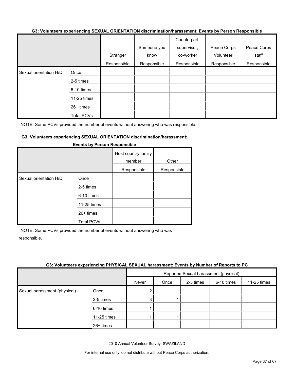#### **G3: Volunteers experiencing SEXUAL ORIENTATION discrimination/harassment: Events by Person Responsible**

|                        |                   |             |             | Counterpart, |             |             |
|------------------------|-------------------|-------------|-------------|--------------|-------------|-------------|
|                        |                   |             | Someone you | supervisor,  | Peace Corps | Peace Corps |
|                        |                   | Stranger    | know        | co-worker    | Volunteer   | staff       |
|                        |                   | Responsible | Responsible | Responsible  | Responsible | Responsible |
| Sexual orientation H/D | Once              |             |             |              |             |             |
|                        | 2-5 times         |             |             |              |             |             |
|                        | 6-10 times        |             |             |              |             |             |
|                        | 11-25 times       |             |             |              |             |             |
|                        | 26+ times         |             |             |              |             |             |
|                        | <b>Total PCVs</b> |             |             |              |             |             |

NOTE: Some PCVs provided the number of events without answering who was responsible.

#### **G3: Volunteers experiencing SEXUAL ORIENTATION discrimination/harassment:**

|                        |                   | Host country family<br>member<br>Responsible | Other<br>Responsible |
|------------------------|-------------------|----------------------------------------------|----------------------|
| Sexual orientation H/D | Once              |                                              |                      |
|                        | 2-5 times         |                                              |                      |
|                        | 6-10 times        |                                              |                      |
|                        | 11-25 times       |                                              |                      |
|                        | $26+$ times       |                                              |                      |
|                        | <b>Total PCVs</b> |                                              |                      |

#### **Events by Person Responsible**

NOTE: Some PCVs provided the number of events without answering who was responsible.

#### **G3: Volunteers experiencing PHYSICAL SEXUAL harassment: Events by Number of Reports to PC**

|                              |             | Reported Sexual harassment (physical) |      |           |            |             |
|------------------------------|-------------|---------------------------------------|------|-----------|------------|-------------|
|                              |             | Never                                 | Once | 2-5 times | 6-10 times | 11-25 times |
| Sexual harassment (physical) | Once        | ົ                                     |      |           |            |             |
|                              | 2-5 times   | 3                                     |      |           |            |             |
|                              | 6-10 times  |                                       |      |           |            |             |
|                              | 11-25 times |                                       |      |           |            |             |
|                              | 26+ times   |                                       |      |           |            |             |

2010 Annual Volunteer Survey: SWAZILAND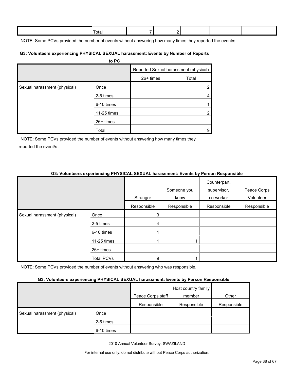| Γotal |  |  |  |
|-------|--|--|--|
|       |  |  |  |

NOTE: Some PCVs provided the number of events without answering how many times they reported the event/s.

#### **G3: Volunteers experiencing PHYSICAL SEXUAL harassment: Events by Number of Reports**

|                              | to PC       |           |                                       |
|------------------------------|-------------|-----------|---------------------------------------|
|                              |             |           | Reported Sexual harassment (physical) |
|                              |             | 26+ times | Total                                 |
| Sexual harassment (physical) | Once        |           | $\overline{2}$                        |
|                              | 2-5 times   |           | 4                                     |
|                              | 6-10 times  |           |                                       |
|                              | 11-25 times |           | $\overline{2}$                        |
|                              | $26+$ times |           |                                       |
|                              | Total       |           | 9                                     |

NOTE: Some PCVs provided the number of events without answering how many times they reported the event/s .

## **G3: Volunteers experiencing PHYSICAL SEXUAL harassment: Events by Person Responsible**

|                              |                   |             | Someone you | Counterpart,<br>supervisor, | Peace Corps |
|------------------------------|-------------------|-------------|-------------|-----------------------------|-------------|
|                              |                   | Stranger    | know        | co-worker                   | Volunteer   |
|                              |                   | Responsible | Responsible | Responsible                 | Responsible |
| Sexual harassment (physical) | Once              | 3           |             |                             |             |
|                              | 2-5 times         | 4           |             |                             |             |
|                              | 6-10 times        |             |             |                             |             |
|                              | 11-25 times       |             |             |                             |             |
|                              | 26+ times         |             |             |                             |             |
|                              | <b>Total PCVs</b> | 9           |             |                             |             |

NOTE: Some PCVs provided the number of events without answering who was responsible.

## **G3: Volunteers experiencing PHYSICAL SEXUAL harassment: Events by Person Responsible**

|                              | -          |                   |                               |             |
|------------------------------|------------|-------------------|-------------------------------|-------------|
|                              |            | Peace Corps staff | Host country family<br>member | Other       |
|                              |            | Responsible       | Responsible                   | Responsible |
| Sexual harassment (physical) | Once       |                   |                               |             |
|                              | 2-5 times  |                   |                               |             |
|                              | 6-10 times |                   |                               |             |

2010 Annual Volunteer Survey: SWAZILAND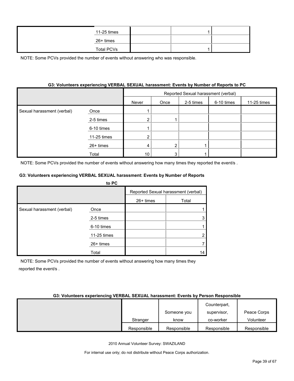| 11-25 times       |  |  |
|-------------------|--|--|
| 26+ times         |  |  |
| <b>Total PCVs</b> |  |  |

NOTE: Some PCVs provided the number of events without answering who was responsible.

## **G3: Volunteers experiencing VERBAL SEXUAL harassment: Events by Number of Reports to PC**

|                            |             | Reported Sexual harassment (verbal) |      |           |            |             |
|----------------------------|-------------|-------------------------------------|------|-----------|------------|-------------|
|                            |             | Never                               | Once | 2-5 times | 6-10 times | 11-25 times |
| Sexual harassment (verbal) | Once        |                                     |      |           |            |             |
|                            | 2-5 times   |                                     |      |           |            |             |
|                            | 6-10 times  |                                     |      |           |            |             |
|                            | 11-25 times |                                     |      |           |            |             |
|                            | 26+ times   | 4                                   |      |           |            |             |
|                            | Total       | 10                                  |      |           |            |             |

NOTE: Some PCVs provided the number of events without answering how many times they reported the event/s .

#### **G3: Volunteers experiencing VERBAL SEXUAL harassment: Events by Number of Reports**

|                            | to PC       |             |                                     |
|----------------------------|-------------|-------------|-------------------------------------|
|                            |             |             | Reported Sexual harassment (verbal) |
|                            |             | $26+$ times | Total                               |
| Sexual harassment (verbal) | Once        |             |                                     |
|                            | 2-5 times   |             |                                     |
|                            | 6-10 times  |             |                                     |
|                            | 11-25 times |             |                                     |
|                            | 26+ times   |             |                                     |
|                            | Total       |             | 14                                  |

NOTE: Some PCVs provided the number of events without answering how many times they reported the event/s .

#### **G3: Volunteers experiencing VERBAL SEXUAL harassment: Events by Person Responsible**

|             |             | Counterpart, |             |
|-------------|-------------|--------------|-------------|
|             | Someone you | supervisor,  | Peace Corps |
| Stranger    | know        | co-worker    | Volunteer   |
| Responsible | Responsible | Responsible  | Responsible |

2010 Annual Volunteer Survey: SWAZILAND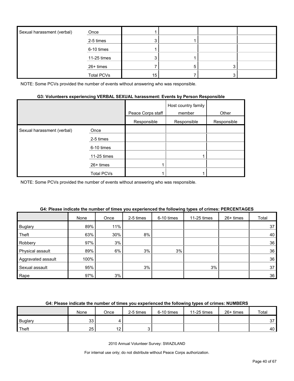| Sexual harassment (verbal) | Once              |                 |  |  |
|----------------------------|-------------------|-----------------|--|--|
|                            | 2-5 times         |                 |  |  |
|                            | 6-10 times        |                 |  |  |
|                            | 11-25 times       |                 |  |  |
|                            | 26+ times         |                 |  |  |
|                            | <b>Total PCVs</b> | 15 <sub>1</sub> |  |  |

NOTE: Some PCVs provided the number of events without answering who was responsible.

### **G3: Volunteers experiencing VERBAL SEXUAL harassment: Events by Person Responsible**

|                            |             | Peace Corps staff | Host country family<br>member | Other       |
|----------------------------|-------------|-------------------|-------------------------------|-------------|
|                            |             | Responsible       | Responsible                   | Responsible |
| Sexual harassment (verbal) | Once        |                   |                               |             |
|                            | 2-5 times   |                   |                               |             |
|                            | 6-10 times  |                   |                               |             |
|                            | 11-25 times |                   |                               |             |
|                            | $26+$ times |                   |                               |             |
|                            | Total PCVs  |                   |                               |             |

NOTE: Some PCVs provided the number of events without answering who was responsible.

|                    | None | Once | 2-5 times | 6-10 times | 11-25 times | 26+ times | Total |
|--------------------|------|------|-----------|------------|-------------|-----------|-------|
| <b>Buglary</b>     | 89%  | 11%  |           |            |             |           | 37    |
| Theft              | 63%  | 30%  | 8%        |            |             |           | 40    |
| Robbery            | 97%  | 3%   |           |            |             |           | 36    |
| Physical assault   | 89%  | 6%   | 3%        | 3%         |             |           | 36    |
| Aggravated assault | 100% |      |           |            |             |           | 36    |
| Sexual assault     | 95%  |      | 3%        |            | 3%          |           | 37    |
| Rape               | 97%  | 3%   |           |            |             |           | 36    |

#### **G4: Please indicate the number of times you experienced the following types of crimes: PERCENTAGES**

## **G4: Please indicate the number of times you experienced the following types of crimes: NUMBERS**

|                | None     | Once      | 2-5 times | 6-10 times | 11-25 times | $26+$ times | Total |
|----------------|----------|-----------|-----------|------------|-------------|-------------|-------|
| <b>Buglary</b> | ົດ<br>ںں |           |           |            |             |             | 37    |
| <b>Theft</b>   | 25       | ៱<br>1 Z. |           |            |             |             | 40    |

2010 Annual Volunteer Survey: SWAZILAND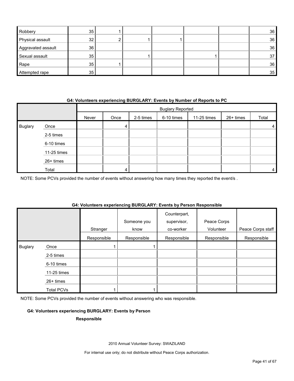| Robbery            | 35 |  |  | 36              |
|--------------------|----|--|--|-----------------|
| Physical assault   | 32 |  |  | 36              |
| Aggravated assault | 36 |  |  | 36              |
| Sexual assault     | 35 |  |  | 37              |
| Rape               | 35 |  |  | 36              |
| Attempted rape     | 35 |  |  | 35 <sup>5</sup> |

#### **G4: Volunteers experiencing BURGLARY: Events by Number of Reports to PC**

|                |             | <b>Buglary Reported</b> |      |           |            |             |           |       |
|----------------|-------------|-------------------------|------|-----------|------------|-------------|-----------|-------|
|                |             | Never                   | Once | 2-5 times | 6-10 times | 11-25 times | 26+ times | Total |
| <b>Buglary</b> | Once        |                         | 4    |           |            |             |           | 4     |
|                | 2-5 times   |                         |      |           |            |             |           |       |
|                | 6-10 times  |                         |      |           |            |             |           |       |
|                | 11-25 times |                         |      |           |            |             |           |       |
|                | 26+ times   |                         |      |           |            |             |           |       |
|                | Total       |                         |      |           |            |             |           | 4     |

NOTE: Some PCVs provided the number of events without answering how many times they reported the event/s .

## **G4: Volunteers experiencing BURGLARY: Events by Person Responsible**

|                |                   | Stranger    | Someone you<br>know | Counterpart,<br>supervisor,<br>co-worker | Peace Corps<br>Volunteer | Peace Corps staff |
|----------------|-------------------|-------------|---------------------|------------------------------------------|--------------------------|-------------------|
|                |                   | Responsible | Responsible         | Responsible                              | Responsible              | Responsible       |
| <b>Buglary</b> | Once              |             |                     |                                          |                          |                   |
|                | 2-5 times         |             |                     |                                          |                          |                   |
|                | 6-10 times        |             |                     |                                          |                          |                   |
|                | 11-25 times       |             |                     |                                          |                          |                   |
|                | $26+$ times       |             |                     |                                          |                          |                   |
|                | <b>Total PCVs</b> |             |                     |                                          |                          |                   |

NOTE: Some PCVs provided the number of events without answering who was responsible.

#### **G4: Volunteers experiencing BURGLARY: Events by Person**

#### **Responsible**

2010 Annual Volunteer Survey: SWAZILAND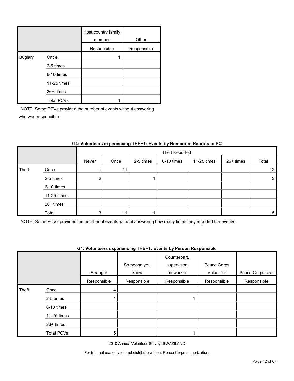|                |                   | Host country family<br>member | Other       |
|----------------|-------------------|-------------------------------|-------------|
|                |                   | Responsible                   | Responsible |
| <b>Buglary</b> | Once              |                               |             |
|                | 2-5 times         |                               |             |
|                | 6-10 times        |                               |             |
|                | 11-25 times       |                               |             |
|                | $26+$ times       |                               |             |
|                | <b>Total PCVs</b> |                               |             |

NOTE: Some PCVs provided the number of events without answering who was responsible.

|       |             |       | Theft Reported |           |            |             |           |                 |
|-------|-------------|-------|----------------|-----------|------------|-------------|-----------|-----------------|
|       |             | Never | Once           | 2-5 times | 6-10 times | 11-25 times | 26+ times | Total           |
| Theft | Once        |       | 11             |           |            |             |           | 12 <sub>1</sub> |
|       | 2-5 times   | ◠     |                |           |            |             |           | $\mathbf{3}$    |
|       | 6-10 times  |       |                |           |            |             |           |                 |
|       | 11-25 times |       |                |           |            |             |           |                 |
|       | 26+ times   |       |                |           |            |             |           |                 |
|       | Total       | 3     | 11             |           |            |             |           | 15              |

## **G4: Volunteers experiencing THEFT: Events by Number of Reports to PC**

NOTE: Some PCVs provided the number of events without answering how many times they reported the event/s.

#### **G4: Volunteers experiencing THEFT: Events by Person Responsible**

|       |                   | Stranger    | Someone you<br>know | Counterpart,<br>supervisor,<br>co-worker | Peace Corps<br>Volunteer | Peace Corps staff |
|-------|-------------------|-------------|---------------------|------------------------------------------|--------------------------|-------------------|
|       |                   | Responsible | Responsible         | Responsible                              | Responsible              | Responsible       |
| Theft | Once              | 4           |                     |                                          |                          |                   |
|       | 2-5 times         |             |                     |                                          |                          |                   |
|       | 6-10 times        |             |                     |                                          |                          |                   |
|       | 11-25 times       |             |                     |                                          |                          |                   |
|       | 26+ times         |             |                     |                                          |                          |                   |
|       | <b>Total PCVs</b> | 5           |                     |                                          |                          |                   |

2010 Annual Volunteer Survey: SWAZILAND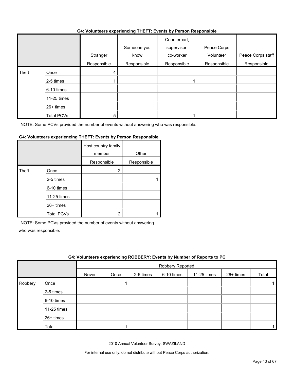#### **G4: Volunteers experiencing THEFT: Events by Person Responsible**

|       |             |             | . <b>.</b>          | . <b>.</b>                               |                          |                   |
|-------|-------------|-------------|---------------------|------------------------------------------|--------------------------|-------------------|
|       |             | Stranger    | Someone you<br>know | Counterpart,<br>supervisor,<br>co-worker | Peace Corps<br>Volunteer | Peace Corps staff |
|       |             | Responsible | Responsible         | Responsible                              | Responsible              | Responsible       |
| Theft | Once        | 4           |                     |                                          |                          |                   |
|       | 2-5 times   |             |                     |                                          |                          |                   |
|       | 6-10 times  |             |                     |                                          |                          |                   |
|       | 11-25 times |             |                     |                                          |                          |                   |
|       | 26+ times   |             |                     |                                          |                          |                   |
|       | Total PCVs  | 5           |                     |                                          |                          |                   |

NOTE: Some PCVs provided the number of events without answering who was responsible.

## **G4: Volunteers experiencing THEFT: Events by Person Responsible**

|       |                   | Host country family<br>member | Other       |
|-------|-------------------|-------------------------------|-------------|
|       |                   | Responsible                   | Responsible |
| Theft | Once              | 2                             |             |
|       | 2-5 times         |                               |             |
|       | 6-10 times        |                               |             |
|       | 11-25 times       |                               |             |
|       | 26+ times         |                               |             |
|       | <b>Total PCVs</b> |                               |             |

NOTE: Some PCVs provided the number of events without answering

who was responsible.

|         | G4: Volunteers experiencing ROBBERY: Events by Number of Reports to PC |       |                  |           |            |             |             |       |  |  |  |  |
|---------|------------------------------------------------------------------------|-------|------------------|-----------|------------|-------------|-------------|-------|--|--|--|--|
|         |                                                                        |       | Robbery Reported |           |            |             |             |       |  |  |  |  |
|         |                                                                        | Never | Once             | 2-5 times | 6-10 times | 11-25 times | $26+$ times | Total |  |  |  |  |
| Robbery | Once                                                                   |       |                  |           |            |             |             |       |  |  |  |  |
|         | 2-5 times                                                              |       |                  |           |            |             |             |       |  |  |  |  |
|         | 6-10 times                                                             |       |                  |           |            |             |             |       |  |  |  |  |
|         | 11-25 times                                                            |       |                  |           |            |             |             |       |  |  |  |  |
|         | 26+ times                                                              |       |                  |           |            |             |             |       |  |  |  |  |
|         | Total                                                                  |       |                  |           |            |             |             |       |  |  |  |  |

2010 Annual Volunteer Survey: SWAZILAND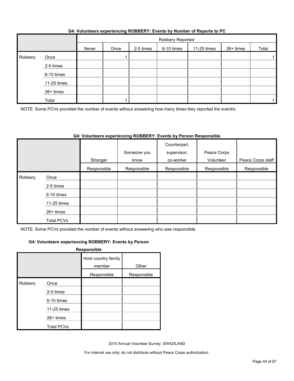|         |             | Robbery Reported |      |           |            |             |           |       |  |
|---------|-------------|------------------|------|-----------|------------|-------------|-----------|-------|--|
|         |             | Never            | Once | 2-5 times | 6-10 times | 11-25 times | 26+ times | Total |  |
| Robbery | Once        |                  |      |           |            |             |           |       |  |
|         | 2-5 times   |                  |      |           |            |             |           |       |  |
|         | 6-10 times  |                  |      |           |            |             |           |       |  |
|         | 11-25 times |                  |      |           |            |             |           |       |  |
|         | 26+ times   |                  |      |           |            |             |           |       |  |
|         | Total       |                  |      |           |            |             |           |       |  |

## **G4: Volunteers experiencing ROBBERY: Events by Number of Reports to PC**

NOTE: Some PCVs provided the number of events without answering how many times they reported the event/s.

## **G4: Volunteers experiencing ROBBERY: Events by Person Responsible**

|         |                   | Stranger    | Someone you<br>know | Counterpart,<br>supervisor,<br>co-worker | Peace Corps<br>Volunteer | Peace Corps staff |
|---------|-------------------|-------------|---------------------|------------------------------------------|--------------------------|-------------------|
|         |                   | Responsible | Responsible         | Responsible                              | Responsible              | Responsible       |
| Robbery | Once              |             |                     |                                          |                          |                   |
|         | 2-5 times         |             |                     |                                          |                          |                   |
|         | 6-10 times        |             |                     |                                          |                          |                   |
|         | 11-25 times       |             |                     |                                          |                          |                   |
|         | 26+ times         |             |                     |                                          |                          |                   |
|         | <b>Total PCVs</b> |             |                     |                                          |                          |                   |

NOTE: Some PCVs provided the number of events without answering who was responsible.

### **G4: Volunteers experiencing ROBBERY: Events by Person**

|         |                   | Responsible                   |             |
|---------|-------------------|-------------------------------|-------------|
|         |                   | Host country family<br>member | Other       |
|         |                   | Responsible                   | Responsible |
| Robbery | Once              |                               |             |
|         | 2-5 times         |                               |             |
|         | 6-10 times        |                               |             |
|         | 11-25 times       |                               |             |
|         | 26+ times         |                               |             |
|         | <b>Total PCVs</b> |                               |             |

2010 Annual Volunteer Survey: SWAZILAND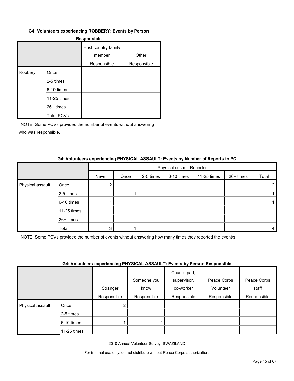#### **G4: Volunteers experiencing ROBBERY: Events by Person**

| <b>Responsible</b> |                   |                               |             |  |  |  |  |
|--------------------|-------------------|-------------------------------|-------------|--|--|--|--|
|                    |                   | Host country family<br>member | Other       |  |  |  |  |
|                    |                   | Responsible                   | Responsible |  |  |  |  |
| Robbery            | Once              |                               |             |  |  |  |  |
|                    | 2-5 times         |                               |             |  |  |  |  |
|                    | 6-10 times        |                               |             |  |  |  |  |
|                    | 11-25 times       |                               |             |  |  |  |  |
|                    | 26+ times         |                               |             |  |  |  |  |
|                    | <b>Total PCVs</b> |                               |             |  |  |  |  |

NOTE: Some PCVs provided the number of events without answering who was responsible.

#### **G4: Volunteers experiencing PHYSICAL ASSAULT: Events by Number of Reports to PC**

|                  |             | Physical assault Reported |      |           |            |             |           |       |
|------------------|-------------|---------------------------|------|-----------|------------|-------------|-----------|-------|
|                  |             | Never                     | Once | 2-5 times | 6-10 times | 11-25 times | 26+ times | Total |
| Physical assault | Once        |                           |      |           |            |             |           |       |
|                  | 2-5 times   |                           |      |           |            |             |           |       |
|                  | 6-10 times  |                           |      |           |            |             |           |       |
|                  | 11-25 times |                           |      |           |            |             |           |       |
|                  | 26+ times   |                           |      |           |            |             |           |       |
|                  | Total       |                           |      |           |            |             |           | 4     |

NOTE: Some PCVs provided the number of events without answering how many times they reported the event/s.

#### **G4: Volunteers experiencing PHYSICAL ASSAULT: Events by Person Responsible**

|                  |             | . . <b>.</b> | Someone you | .<br>Counterpart,<br>supervisor, | Peace Corps | Peace Corps |
|------------------|-------------|--------------|-------------|----------------------------------|-------------|-------------|
|                  |             | Stranger     | know        | co-worker                        | Volunteer   | staff       |
|                  |             | Responsible  | Responsible | Responsible                      | Responsible | Responsible |
| Physical assault | Once        | ◠            |             |                                  |             |             |
|                  | 2-5 times   |              |             |                                  |             |             |
|                  | 6-10 times  |              |             |                                  |             |             |
|                  | 11-25 times |              |             |                                  |             |             |

2010 Annual Volunteer Survey: SWAZILAND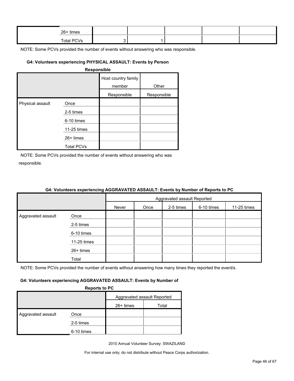| 26+ times |  |  |  |
|-----------|--|--|--|
| $T - 4$   |  |  |  |

NOTE: Some PCVs provided the number of events without answering who was responsible.

## **G4: Volunteers experiencing PHYSICAL ASSAULT: Events by Person**

| <b>Responsible</b> |
|--------------------|
|--------------------|

|                  |                   | Host country family<br>member | Other       |
|------------------|-------------------|-------------------------------|-------------|
|                  |                   | Responsible                   | Responsible |
| Physical assault | Once              |                               |             |
|                  | 2-5 times         |                               |             |
|                  | 6-10 times        |                               |             |
|                  | 11-25 times       |                               |             |
|                  | $26+$ times       |                               |             |
|                  | <b>Total PCVs</b> |                               |             |

NOTE: Some PCVs provided the number of events without answering who was responsible.

|                    |             | Aggravated assault Reported |      |           |            |             |
|--------------------|-------------|-----------------------------|------|-----------|------------|-------------|
|                    |             | Never                       | Once | 2-5 times | 6-10 times | 11-25 times |
| Aggravated assault | Once        |                             |      |           |            |             |
|                    | 2-5 times   |                             |      |           |            |             |
|                    | 6-10 times  |                             |      |           |            |             |
|                    | 11-25 times |                             |      |           |            |             |
|                    | 26+ times   |                             |      |           |            |             |
|                    | Total       |                             |      |           |            |             |

## **G4: Volunteers experiencing AGGRAVATED ASSAULT: Events by Number of Reports to PC**

NOTE: Some PCVs provided the number of events without answering how many times they reported the event/s.

#### **G4: Volunteers experiencing AGGRAVATED ASSAULT: Events by Number of**

**Reports to PC**

|                    |            | . . <b>.</b>                |       |  |
|--------------------|------------|-----------------------------|-------|--|
|                    |            | Aggravated assault Reported |       |  |
|                    |            | $26+$ times                 | Total |  |
| Aggravated assault | Once       |                             |       |  |
|                    | 2-5 times  |                             |       |  |
|                    | 6-10 times |                             |       |  |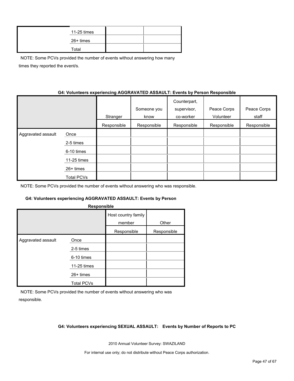| 11-25 times |  |
|-------------|--|
| 26+ times   |  |
| Total       |  |

NOTE: Some PCVs provided the number of events without answering how many times they reported the event/s.

#### **G4: Volunteers experiencing AGGRAVATED ASSAULT: Events by Person Responsible**

|                    |                   | Stranger    | Someone you<br>know | Counterpart,<br>supervisor,<br>co-worker | Peace Corps<br>Volunteer | Peace Corps<br>staff |
|--------------------|-------------------|-------------|---------------------|------------------------------------------|--------------------------|----------------------|
|                    |                   | Responsible | Responsible         | Responsible                              | Responsible              | Responsible          |
| Aggravated assault | Once              |             |                     |                                          |                          |                      |
|                    | 2-5 times         |             |                     |                                          |                          |                      |
|                    | 6-10 times        |             |                     |                                          |                          |                      |
|                    | 11-25 times       |             |                     |                                          |                          |                      |
|                    | $26+$ times       |             |                     |                                          |                          |                      |
|                    | <b>Total PCVs</b> |             |                     |                                          |                          |                      |

NOTE: Some PCVs provided the number of events without answering who was responsible.

#### **G4: Volunteers experiencing AGGRAVATED ASSAULT: Events by Person**

| Host country family<br>member<br>Other<br>Responsible<br>Responsible<br>Aggravated assault<br>Once | Responsible |  |
|----------------------------------------------------------------------------------------------------|-------------|--|
|                                                                                                    |             |  |
|                                                                                                    |             |  |
|                                                                                                    |             |  |
| 2-5 times                                                                                          |             |  |
| 6-10 times                                                                                         |             |  |
| 11-25 times                                                                                        |             |  |
| 26+ times                                                                                          |             |  |
| <b>Total PCVs</b>                                                                                  |             |  |

NOTE: Some PCVs provided the number of events without answering who was responsible.

#### **G4: Volunteers experiencing SEXUAL ASSAULT: Events by Number of Reports to PC**

2010 Annual Volunteer Survey: SWAZILAND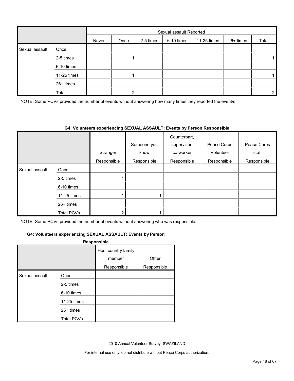|                |             |       | Sexual assault Reported |           |            |             |           |                |
|----------------|-------------|-------|-------------------------|-----------|------------|-------------|-----------|----------------|
|                |             | Never | Once                    | 2-5 times | 6-10 times | 11-25 times | 26+ times | Total          |
| Sexual assault | Once        |       |                         |           |            |             |           |                |
|                | 2-5 times   |       |                         |           |            |             |           |                |
|                | 6-10 times  |       |                         |           |            |             |           |                |
|                | 11-25 times |       |                         |           |            |             |           |                |
|                | 26+ times   |       |                         |           |            |             |           |                |
|                | Total       |       | ◠                       |           |            |             |           | $\overline{2}$ |

NOTE: Some PCVs provided the number of events without answering how many times they reported the event/s.

#### **G4: Volunteers experiencing SEXUAL ASSAULT: Events by Person Responsible**

|                |             | Stranger    | Someone you<br>know | Counterpart,<br>supervisor,<br>co-worker | Peace Corps<br>Volunteer | Peace Corps<br>staff |
|----------------|-------------|-------------|---------------------|------------------------------------------|--------------------------|----------------------|
|                |             | Responsible | Responsible         | Responsible                              | Responsible              | Responsible          |
| Sexual assault | Once        |             |                     |                                          |                          |                      |
|                | 2-5 times   |             |                     |                                          |                          |                      |
|                | 6-10 times  |             |                     |                                          |                          |                      |
|                | 11-25 times |             |                     |                                          |                          |                      |
|                | $26+$ times |             |                     |                                          |                          |                      |
|                | Total PCVs  | ◠           |                     |                                          |                          |                      |

NOTE: Some PCVs provided the number of events without answering who was responsible.

#### **G4: Volunteers experiencing SEXUAL ASSAULT: Events by Person**

#### **Responsible**

|                |                   | Host country family<br>member<br>Responsible | Other<br>Responsible |
|----------------|-------------------|----------------------------------------------|----------------------|
|                |                   |                                              |                      |
| Sexual assault | Once              |                                              |                      |
|                | 2-5 times         |                                              |                      |
|                | 6-10 times        |                                              |                      |
|                | 11-25 times       |                                              |                      |
|                | $26+$ times       |                                              |                      |
|                | <b>Total PCVs</b> |                                              |                      |

2010 Annual Volunteer Survey: SWAZILAND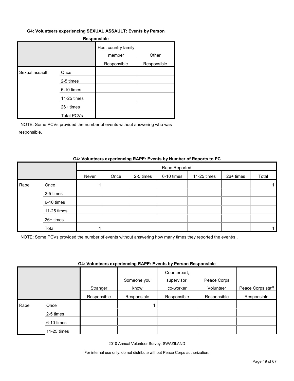#### **G4: Volunteers experiencing SEXUAL ASSAULT: Events by Person**

#### **Responsible**

|                |                   | Host country family<br>member | Other       |
|----------------|-------------------|-------------------------------|-------------|
|                |                   | Responsible                   | Responsible |
| Sexual assault | Once              |                               |             |
|                | 2-5 times         |                               |             |
|                | 6-10 times        |                               |             |
|                | 11-25 times       |                               |             |
|                | $26+$ times       |                               |             |
|                | <b>Total PCVs</b> |                               |             |

NOTE: Some PCVs provided the number of events without answering who was responsible.

#### **G4: Volunteers experiencing RAPE: Events by Number of Reports to PC**

|      |             |       |      |           | Rape Reported |             |           |       |
|------|-------------|-------|------|-----------|---------------|-------------|-----------|-------|
|      |             | Never | Once | 2-5 times | 6-10 times    | 11-25 times | 26+ times | Total |
| Rape | Once        |       |      |           |               |             |           |       |
|      | 2-5 times   |       |      |           |               |             |           |       |
|      | 6-10 times  |       |      |           |               |             |           |       |
|      | 11-25 times |       |      |           |               |             |           |       |
|      | 26+ times   |       |      |           |               |             |           |       |
|      | Total       |       |      |           |               |             |           |       |

NOTE: Some PCVs provided the number of events without answering how many times they reported the event/s .

#### **G4: Volunteers experiencing RAPE: Events by Person Responsible**

|      |               |             | Someone you | Counterpart,<br>supervisor, | Peace Corps |                   |
|------|---------------|-------------|-------------|-----------------------------|-------------|-------------------|
|      |               | Stranger    | know        | co-worker                   | Volunteer   | Peace Corps staff |
|      |               | Responsible | Responsible | Responsible                 | Responsible | Responsible       |
| Rape | Once          |             |             |                             |             |                   |
|      | 2-5 times     |             |             |                             |             |                   |
|      | 6-10 times    |             |             |                             |             |                   |
|      | $11-25$ times |             |             |                             |             |                   |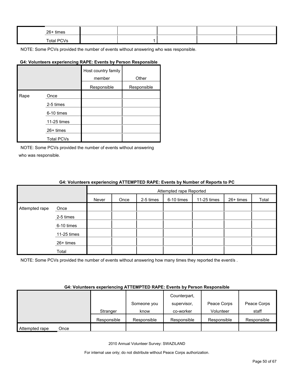| 26+ times  |  |  |  |
|------------|--|--|--|
| Total PCVs |  |  |  |

NOTE: Some PCVs provided the number of events without answering who was responsible.

## **G4: Volunteers experiencing RAPE: Events by Person Responsible**

|      |                   | Host country family<br>member | Other       |
|------|-------------------|-------------------------------|-------------|
|      |                   | Responsible                   | Responsible |
| Rape | Once              |                               |             |
|      | 2-5 times         |                               |             |
|      | 6-10 times        |                               |             |
|      | 11-25 times       |                               |             |
|      | 26+ times         |                               |             |
|      | <b>Total PCVs</b> |                               |             |

NOTE: Some PCVs provided the number of events without answering who was responsible.

#### **G4: Volunteers experiencing ATTEMPTED RAPE: Events by Number of Reports to PC**

|                |             |       | Attempted rape Reported |           |            |             |           |       |  |  |
|----------------|-------------|-------|-------------------------|-----------|------------|-------------|-----------|-------|--|--|
|                |             | Never | Once                    | 2-5 times | 6-10 times | 11-25 times | 26+ times | Total |  |  |
| Attempted rape | Once        |       |                         |           |            |             |           |       |  |  |
|                | 2-5 times   |       |                         |           |            |             |           |       |  |  |
|                | 6-10 times  |       |                         |           |            |             |           |       |  |  |
|                | 11-25 times |       |                         |           |            |             |           |       |  |  |
|                | 26+ times   |       |                         |           |            |             |           |       |  |  |
|                | Total       |       |                         |           |            |             |           |       |  |  |

NOTE: Some PCVs provided the number of events without answering how many times they reported the event/s.

#### **G4: Volunteers experiencing ATTEMPTED RAPE: Events by Person Responsible**

|                        |             |             | Counterpart, |             |             |
|------------------------|-------------|-------------|--------------|-------------|-------------|
|                        |             | Someone you | supervisor,  | Peace Corps | Peace Corps |
|                        | Stranger    | know        | co-worker    | Volunteer   | staff       |
|                        | Responsible | Responsible | Responsible  | Responsible | Responsible |
| Attempted rape<br>Once |             |             |              |             |             |

2010 Annual Volunteer Survey: SWAZILAND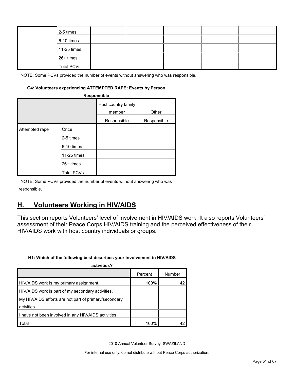|  | 2-5 times         |  |  |  |
|--|-------------------|--|--|--|
|  | 6-10 times        |  |  |  |
|  | 11-25 times       |  |  |  |
|  | 26+ times         |  |  |  |
|  | <b>Total PCVs</b> |  |  |  |

NOTE: Some PCVs provided the number of events without answering who was responsible.

#### **G4: Volunteers experiencing ATTEMPTED RAPE: Events by Person**

| Responsible    |                   |                               |             |  |  |  |  |
|----------------|-------------------|-------------------------------|-------------|--|--|--|--|
|                |                   | Host country family<br>member | Other       |  |  |  |  |
|                |                   | Responsible                   | Responsible |  |  |  |  |
| Attempted rape | Once              |                               |             |  |  |  |  |
|                | 2-5 times         |                               |             |  |  |  |  |
|                | 6-10 times        |                               |             |  |  |  |  |
|                | 11-25 times       |                               |             |  |  |  |  |
|                | $26+$ times       |                               |             |  |  |  |  |
|                | <b>Total PCVs</b> |                               |             |  |  |  |  |

NOTE: Some PCVs provided the number of events without answering who was responsible.

## <span id="page-50-0"></span>**H. Volunteers Working in HIV/AIDS**

This section reports Volunteers' level of involvement in HIV/AIDS work. It also reports Volunteers' assessment of their Peace Corps HIV/AIDS training and the perceived effectiveness of their HIV/AIDS work with host country individuals or groups.

#### **H1: Which of the following best describes your involvement in HIV/AIDS**

| activities?                                           |         |        |
|-------------------------------------------------------|---------|--------|
|                                                       | Percent | Number |
| HIV/AIDS work is my primary assignment.               | 100%    |        |
| HIV/AIDS work is part of my secondary activities.     |         |        |
| My HIV/AIDS efforts are not part of primary/secondary |         |        |
| actvities.                                            |         |        |
| I have not been involved in any HIV/AIDS activities.  |         |        |
| Total                                                 | 100%    |        |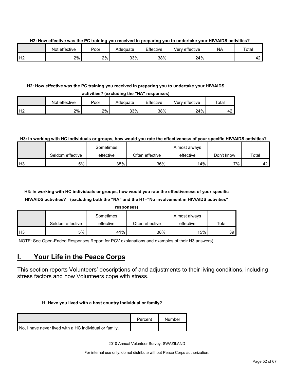**H2: How effective was the PC training you received in preparing you to undertake your HIV/AIDS activities?**

|    | Not effective | Poor | Adeɑuate | Effective | <br>Very effective | <b>NA</b> | Total                           |
|----|---------------|------|----------|-----------|--------------------|-----------|---------------------------------|
| Н2 | $2\%$         | 2%   | 33%      | 38%       | 24%                |           | $\overline{\phantom{0}}$<br>т∠. |

#### **H2: How effective was the PC training you received in preparing you to undertake your HIV/AIDS activities? (excluding the "NA" responses)**

|          | Not effective | Poor | Adeɑuate | Effective | Verv effective | $\tau$ otal |  |
|----------|---------------|------|----------|-----------|----------------|-------------|--|
| H2<br>╶╹ | 2%            | 2%   | 33%      | 38%       | 24%            | 42          |  |

#### **H3: In working with HC individuals or groups, how would you rate the effectiveness of your specific HIV/AIDS activities?**

|                |                  | Sometimes |                 | Almost always |            |       |
|----------------|------------------|-----------|-----------------|---------------|------------|-------|
|                | Seldom effective | effective | Often effective | effective     | Don't know | Total |
| H <sub>3</sub> | 5%               | 38%       | 36%             | 14%           | 7%.        | 42    |

## **H3: In working with HC individuals or groups, how would you rate the effectiveness of your specific HIV/AIDS activities? (excluding both the "NA" and the H1="No involvement in HIV/AIDS activities"**

| responses)     |                  |           |                 |               |       |  |  |
|----------------|------------------|-----------|-----------------|---------------|-------|--|--|
|                |                  | Sometimes |                 | Almost always |       |  |  |
|                | Seldom effective | effective | Often effective | effective     | Total |  |  |
| H <sub>3</sub> | 5%               | 41%       | 38%             | 15%           | 39    |  |  |

NOTE: See Open-Ended Responses Report for PCV explanations and examples of their H3 answers)

## <span id="page-51-0"></span>**I. Your Life in the Peace Corps**

This section reports Volunteers' descriptions of and adjustments to their living conditions, including stress factors and how Volunteers cope with stress.

#### **I1: Have you lived with a host country individual or family?**

|                                                        | Percent | Number |
|--------------------------------------------------------|---------|--------|
| No. I have never lived with a HC individual or family. |         |        |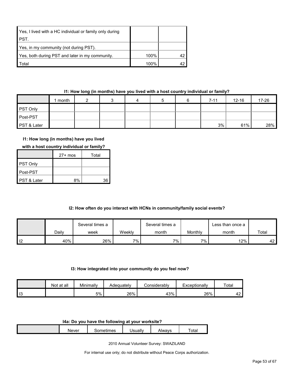| Yes, I lived with a HC individual or family only during |      |  |
|---------------------------------------------------------|------|--|
| PST.                                                    |      |  |
| Yes, in my community (not during PST).                  |      |  |
| Yes, both during PST and later in my community.         | 100% |  |
| <b>Total</b>                                            | 100% |  |

### **I1: How long (in months) have you lived with a host country individual or family?**

|             | month |  | 4 |  | $7 - 11$ | $12 - 16$ | 17-26 |
|-------------|-------|--|---|--|----------|-----------|-------|
| PST Only    |       |  |   |  |          |           |       |
| Post-PST    |       |  |   |  |          |           |       |
| PST & Later |       |  |   |  | 3%       | 61%       | 28%   |

## **I1: How long (in months) have you lived**

|  | with a host country individual or family? |
|--|-------------------------------------------|
|--|-------------------------------------------|

|                        | $27+$ mos | Total |
|------------------------|-----------|-------|
| <b>PST Only</b>        |           |       |
| ∎Post-PST              |           |       |
| <b>PST &amp; Later</b> | 8%        | 36    |

### **I2: How often do you interact with HCNs in community/family social events?**

|                |       | Several times a | Several times a |       |         | ∟ess than once a |       |
|----------------|-------|-----------------|-----------------|-------|---------|------------------|-------|
|                | Daily | week            | Weekly          | month | Monthly | month            | Total |
| $\blacksquare$ | 40%   | 26%             | 7%              | 7% .  | $7\%$   | 12%              | 42 F  |

#### **I3: How integrated into your community do you feel now?**

|    | Not at all | Minimally | Adeɑuatelv | :onsiderablv | Exceptionally | Total    |
|----|------------|-----------|------------|--------------|---------------|----------|
| 13 |            | 5%        | 26%        | 43%          | 26%           | ໍດ<br>Т4 |

#### **I4a: Do you have the following at your worksite?**

| <b>Never</b> | - ---<br>mes<br>⊶பட | Jsuall∗ | \Iwavs<br>71 V V | $\overline{\phantom{0}}$<br>otal |
|--------------|---------------------|---------|------------------|----------------------------------|
|              |                     |         |                  |                                  |

2010 Annual Volunteer Survey: SWAZILAND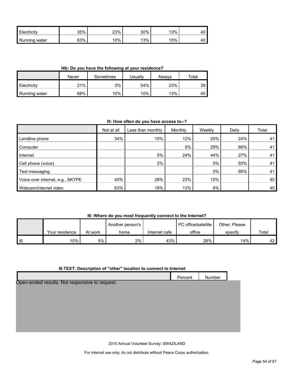| l Flec<br>:tricitv        | 35% | 23%<br>∠ບ | 30% | 13% | טד |
|---------------------------|-----|-----------|-----|-----|----|
| <b>I</b> Running<br>water | 63% | $0\%$     | 13% | 15% | ᠇◡ |

**I4b: Do you have the following at your residence?**

|                      | Never | Sometimes | Jsuallv | Alwavs | Total |
|----------------------|-------|-----------|---------|--------|-------|
| <b>Electricity</b>   | 21%   | 3%        | 54%     | 23%    | 39    |
| <b>Running water</b> | 68%   | 10%       | 10%     | 13%    | 40'   |

#### **I5: How often do you have access to--?**

|                                  | Not at all | Less than monthly | Monthly | Weekly | Daily | Total |
|----------------------------------|------------|-------------------|---------|--------|-------|-------|
| Landline phone                   | 34%        | 10%               | 12%     | 20%    | 24%   | 41    |
| Computer                         |            |                   | 5%      | 29%    | 66%   | 41    |
| Internet                         |            | 5%                | 24%     | 44%    | 27%   | 41    |
| Cell phone (voice)               |            | 2%                |         | 5%     | 93%   | 41    |
| Text messaging                   |            |                   |         | 5%     | 95%   | 41    |
| Voice over internet, e.g., SKYPE | 40%        | 28%               | 23%     | 10%    |       | 40    |
| Webcam/internet video            | 63%        | 18%               | 13%     | 8%     |       | 40    |

## **I6: Where do you most frequently connect to the Internet?**

|      |                |         | Another person's |               | PC office/satellite<br>Other: Please |         |       |
|------|----------------|---------|------------------|---------------|--------------------------------------|---------|-------|
|      | Your residence | At work | home             | Internet cafe | office                               | specify | Total |
| l 16 | 10%            | .5%     | 2%               | 43%           | 26%                                  | 14%     | 42 L  |

## **I6.TEXT: Description of "other" location to connect to Internet**

|                                                | Percent | Number |  |
|------------------------------------------------|---------|--------|--|
| Open-ended results. Not responsive to request. |         |        |  |
|                                                |         |        |  |
|                                                |         |        |  |
|                                                |         |        |  |
|                                                |         |        |  |
|                                                |         |        |  |
|                                                |         |        |  |

2010 Annual Volunteer Survey: SWAZILAND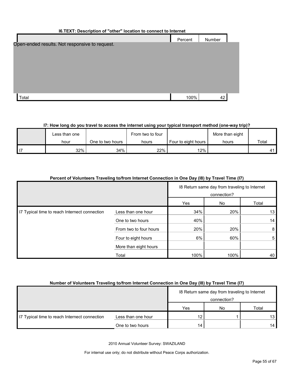| I6.TEXT: Description of "other" location to connect to Internet |         |        |  |  |  |  |
|-----------------------------------------------------------------|---------|--------|--|--|--|--|
|                                                                 | Percent | Number |  |  |  |  |
| Open-ended results. Not responsive to request.                  |         |        |  |  |  |  |
|                                                                 |         |        |  |  |  |  |
|                                                                 |         |        |  |  |  |  |
|                                                                 |         |        |  |  |  |  |
|                                                                 |         |        |  |  |  |  |
|                                                                 |         |        |  |  |  |  |
|                                                                 |         |        |  |  |  |  |
| Total                                                           | 100%    | 42     |  |  |  |  |

## **I7: How long do you travel to access the internet using your typical transport method (one-way trip)?**

| Less than one |                  | From two to four | More than eight     |       |       |
|---------------|------------------|------------------|---------------------|-------|-------|
| hour          | One to two hours | hours            | Four to eight hours | hours | Total |
| 32%           | 34%              | 22%              | $12\%$              |       | A 1   |

| Percent of Volunteers Traveling to/from Internet Connection in One Day (18) by Travel Time (17) |                        |                                                              |      |       |
|-------------------------------------------------------------------------------------------------|------------------------|--------------------------------------------------------------|------|-------|
|                                                                                                 |                        | 18 Return same day from traveling to Internet<br>connection? |      |       |
|                                                                                                 |                        | Yes                                                          | No.  | Total |
| I7 Typical time to reach Internect connection                                                   | Less than one hour     | 34%                                                          | 20%  | 13    |
|                                                                                                 | One to two hours       | 40%                                                          |      | 14    |
|                                                                                                 | From two to four hours | 20%                                                          | 20%  | 8     |
|                                                                                                 | Four to eight hours    | 6%                                                           | 60%  | 5     |
|                                                                                                 | More than eight hours  |                                                              |      |       |
|                                                                                                 | Total                  | 100%                                                         | 100% | 40    |

## **Number of Volunteers Traveling to/from Internet Connection in One Day (I8) by Travel Time (I7)**

|                                               |                    | 18 Return same day from traveling to Internet |    |                 |  |
|-----------------------------------------------|--------------------|-----------------------------------------------|----|-----------------|--|
|                                               |                    | connection?                                   |    |                 |  |
|                                               |                    | Yes                                           | No | Total           |  |
| I7 Typical time to reach Internect connection | Less than one hour | 12                                            |    | 13 I            |  |
|                                               | One to two hours   | 14                                            |    | 14 <sub>1</sub> |  |

2010 Annual Volunteer Survey: SWAZILAND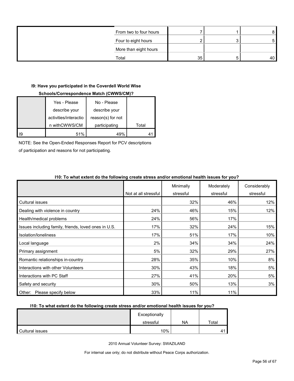| From two to four hours |    |    |
|------------------------|----|----|
| Four to eight hours    |    |    |
| More than eight hours  |    |    |
| Total                  | 35 | 40 |

## **I9: Have you participated in the Coverdell World Wise**

## **Schools/Correspondence Match (CWWS/CM)?**

| Yes - Please          | No - Please       |       |
|-----------------------|-------------------|-------|
| describe your         | describe your     |       |
| activities/interactio | reason(s) for not |       |
| n withCWWS/CM         | participating     | Total |
| 51%                   | 49%               |       |

NOTE: See the Open-Ended Responses Report for PCV descriptions

of participation and reasons for not participating.

|                                                      |                      | Minimally | Moderately | Considerably |
|------------------------------------------------------|----------------------|-----------|------------|--------------|
|                                                      | Not at all stressful | stressful | stressful  | stressful    |
| Cultural issues                                      |                      | 32%       | 46%        | 12%          |
| Dealing with violence in country                     | 24%                  | 46%       | 15%        | 12%          |
| Health/medical problems                              | 24%                  | 56%       | 17%        |              |
| Issues including family, friends, loved ones in U.S. | 17%                  | 32%       | 24%        | 15%          |
| Isolation/loneliness                                 | 17%                  | 51%       | 17%        | 10%          |
| Local language                                       | 2%                   | 34%       | 34%        | 24%          |
| Primary assignment                                   | 5%                   | 32%       | 29%        | 27%          |
| Romantic relationships in-country                    | 28%                  | 35%       | 10%        | 8%           |
| Interactions with other Volunteers                   | 30%                  | 43%       | 18%        | 5%           |
| Interactions with PC Staff                           | 27%                  | 41%       | 20%        | 5%           |
| Safety and security                                  | 30%                  | 50%       | 13%        | 3%           |
| Other: Please specify below                          | 33%                  | 11%       | 11%        |              |

## **I10: To what extent do the following create stress and/or emotional health issues for you?**

#### **I10: To what extent do the following create stress and/or emotional health issues for you?**

|                 | Exceptionally |    |       |
|-----------------|---------------|----|-------|
|                 | stressful     | NA | Total |
| Cultural issues | 10%           |    |       |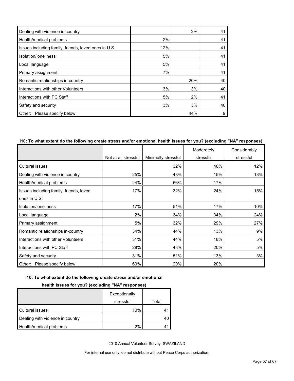| Dealing with violence in country                     |     | 2%  | 41 |
|------------------------------------------------------|-----|-----|----|
| Health/medical problems                              | 2%  |     | 41 |
| Issues including family, friends, loved ones in U.S. | 12% |     | 41 |
| Isolation/Ioneliness                                 | 5%  |     | 41 |
| Local language                                       | 5%  |     | 41 |
| Primary assignment                                   | 7%  |     | 41 |
| Romantic relationships in-country                    |     | 20% | 40 |
| Interactions with other Volunteers                   | 3%  | 3%  | 40 |
| Interactions with PC Staff                           | 5%  | 2%  | 41 |
| Safety and security                                  | 3%  | 3%  | 40 |
| Please specify below<br>Other:                       |     | 44% | 9  |

## **I10: To what extent do the following create stress and/or emotional health issues for you? (excluding "NA" responses)**

|                                         |                      |                     | Moderately | Considerably |
|-----------------------------------------|----------------------|---------------------|------------|--------------|
|                                         | Not at all stressful | Minimally stressful | stressful  | stressful    |
| Cultural issues                         |                      | 32%                 | 46%        | 12%          |
| Dealing with violence in country        | 25%                  | 48%                 | 15%        | 13%          |
| Health/medical problems                 | 24%                  | 56%                 | 17%        |              |
| Issues including family, friends, loved | 17%                  | 32%                 | 24%        | 15%          |
| ones in U.S.                            |                      |                     |            |              |
| Isolation/loneliness                    | 17%                  | 51%                 | 17%        | 10%          |
| Local language                          | 2%                   | 34%                 | 34%        | 24%          |
| Primary assignment                      | 5%                   | 32%                 | 29%        | 27%          |
| Romantic relationships in-country       | 34%                  | 44%                 | 13%        | 9%           |
| Interactions with other Volunteers      | 31%                  | 44%                 | 18%        | 5%           |
| Interactions with PC Staff              | 28%                  | 43%                 | 20%        | 5%           |
| Safety and security                     | 31%                  | 51%                 | 13%        | 3%           |
| Please specify below<br>Other:          | 60%                  | 20%                 | 20%        |              |

#### **I10: To what extent do the following create stress and/or emotional**

## **health issues for you? (excluding "NA" responses)**

|                                  | Exceptionally |       |
|----------------------------------|---------------|-------|
|                                  | stressful     | Total |
| Cultural issues                  | 10%           |       |
| Dealing with violence in country |               | 40    |
| Health/medical problems          | 2%            |       |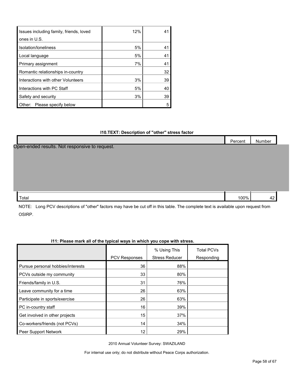| Issues including family, friends, loved | 12% | 41 |
|-----------------------------------------|-----|----|
| ones in U.S.                            |     |    |
| Isolation/loneliness                    | 5%  | 41 |
| Local language                          | 5%  | 41 |
| Primary assignment                      | 7%  | 41 |
| Romantic relationships in-country       |     | 32 |
| Interactions with other Volunteers      | 3%  | 39 |
| Interactions with PC Staff              | 5%  | 40 |
| Safety and security                     | 3%  | 39 |
| Please specify below<br>Other:          |     | 5  |

#### **I10.TEXT: Description of "other" stress factor**

|                                                | Percent | Number |  |
|------------------------------------------------|---------|--------|--|
| Open-ended results. Not responsive to request. |         |        |  |
|                                                |         |        |  |
|                                                |         |        |  |
|                                                |         |        |  |
|                                                |         |        |  |
|                                                |         |        |  |
| Total                                          | 100%    | 42     |  |

NOTE: Long PCV descriptions of "other" factors may have be cut off in this table. The complete text is available upon request from OSIRP.

|                                   |                      | % Using This          | <b>Total PCVs</b> |
|-----------------------------------|----------------------|-----------------------|-------------------|
|                                   | <b>PCV Responses</b> | <b>Stress Reducer</b> | Responding        |
| Pursue personal hobbies/interests | 36                   | 88%                   |                   |
| PCVs outside my community         | 33                   | 80%                   |                   |
| Friends/family in U.S.            | 31                   | 76%                   |                   |
| Leave community for a time        | 26                   | 63%                   |                   |
| Participate in sports/exercise    | 26                   | 63%                   |                   |
| PC in-country staff               | 16                   | 39%                   |                   |
| Get involved in other projects    | 15                   | 37%                   |                   |
| Co-workers/friends (not PCVs)     | 14                   | 34%                   |                   |
| Peer Support Network              | 12                   | 29%                   |                   |

## **I11: Please mark all of the typical ways in which you cope with stress.**

2010 Annual Volunteer Survey: SWAZILAND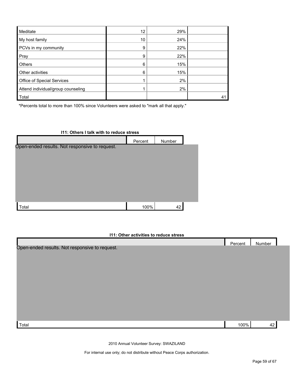| Meditate                           | 12 | 29% |    |
|------------------------------------|----|-----|----|
| My host family                     | 10 | 24% |    |
| PCVs in my community               | 9  | 22% |    |
| Pray                               | 9  | 22% |    |
| Others                             | 6  | 15% |    |
| Other activities                   | 6  | 15% |    |
| Office of Special Services         |    | 2%  |    |
| Attend individual/group counseling |    | 2%  |    |
| Total                              |    |     | 41 |

\*Percents total to more than 100% since Volunteers were asked to "mark all that apply."

| I11: Others I talk with to reduce stress       |         |        |  |  |  |  |
|------------------------------------------------|---------|--------|--|--|--|--|
|                                                | Percent | Number |  |  |  |  |
| Open-ended results. Not responsive to request. |         |        |  |  |  |  |
|                                                |         |        |  |  |  |  |
|                                                |         |        |  |  |  |  |
|                                                |         |        |  |  |  |  |
|                                                |         |        |  |  |  |  |
|                                                |         |        |  |  |  |  |
|                                                |         |        |  |  |  |  |
|                                                |         |        |  |  |  |  |
| Total                                          | 100%    | 42     |  |  |  |  |

#### **I11: Other activities to reduce stress**

|                                                | Percent | Number |  |
|------------------------------------------------|---------|--------|--|
| Open-ended results. Not responsive to request. |         |        |  |
|                                                |         |        |  |
|                                                |         |        |  |
|                                                |         |        |  |
|                                                |         |        |  |
|                                                |         |        |  |
|                                                |         |        |  |
|                                                |         |        |  |
|                                                |         |        |  |
|                                                |         |        |  |
|                                                |         |        |  |
|                                                |         |        |  |
|                                                |         |        |  |
| Total                                          | 100%    | 42     |  |

2010 Annual Volunteer Survey: SWAZILAND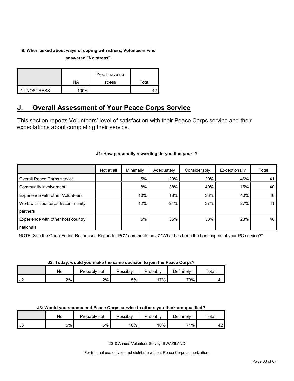## **I8: When asked about ways of coping with stress, Volunteers who answered "No stress"**

|                       | NA   | Yes, I have no<br>stress | Total |
|-----------------------|------|--------------------------|-------|
|                       |      |                          |       |
| <b>I</b> I11.NOSTRESS | 100% |                          |       |

## <span id="page-59-0"></span>**J. Overall Assessment of Your Peace Corps Service**

This section reports Volunteers' level of satisfaction with their Peace Corps service and their expectations about completing their service.

## **J1: How personally rewarding do you find your--?**

|                                    | Not at all | Minimally | Adequately | Considerably | Exceptionally | Total |
|------------------------------------|------------|-----------|------------|--------------|---------------|-------|
| Overall Peace Corps service        |            | 5%        | 20%        | 29%          | 46%           | 41    |
| Community involvement              |            | 8%        | 38%        | 40%          | 15%           | 40    |
| Experience with other Volunteers   |            | 10%       | 18%        | 33%          | 40%           | 40    |
| Work with counterparts/community   |            | 12%       | 24%        | 37%          | 27%           | 41    |
| partners                           |            |           |            |              |               |       |
| Experience with other host country |            | 5%        | 35%        | 38%          | 23%           | 40    |
| nationals                          |            |           |            |              |               |       |

NOTE: See the Open-Ended Responses Report for PCV comments on J7 "What has been the best aspect of your PC service?"

## **J2: Today, would you make the same decision to join the Peace Corps?**

|               | Nο | Probably not | Possibly | Probably | <b>Definitelv</b> | $\tau$ otal |
|---------------|----|--------------|----------|----------|-------------------|-------------|
| $\sim$<br>ے ت | 2% | 2%           | 5% l     | $7\%$ .  | 73%               |             |

#### **J3: Would you recommend Peace Corps service to others you think are qualified?**

|    | Νo | Probably<br>not | <b>Possibly</b> | Probably | Definitely | $\tau$ otal         |
|----|----|-----------------|-----------------|----------|------------|---------------------|
| J3 | 5% | 5%              | ا 10%           | 10%      | 71%        | $\overline{ }$<br>╍ |

2010 Annual Volunteer Survey: SWAZILAND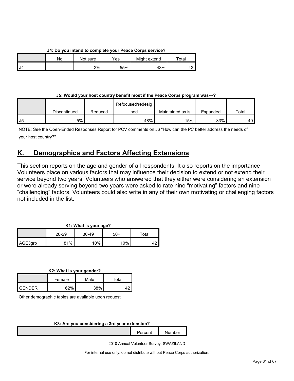## **J4: Do you intend to complete your Peace Corps service?**

|    | No | Not sure | $\mathsf{v}_{\mathsf{es}}$ | Might extend | Total |
|----|----|----------|----------------------------|--------------|-------|
| J4 |    | 2%       | 55%                        | 43%          |       |

## **J5: Would your host country benefit most if the Peace Corps program was---?**

|    |              |         | Refocused/redesig |                  |          |       |
|----|--------------|---------|-------------------|------------------|----------|-------|
|    | Discontinued | Reduced | ned               | Maintained as is | Expanded | Total |
| J5 | 5%           |         | 48%               | 15%              | 33%      | 40    |

NOTE: See the Open-Ended Responses Report for PCV comments on J6 "How can the PC better address the needs of your host country?"

## <span id="page-60-0"></span>**K. Demographics and Factors Affecting Extensions**

This section reports on the age and gender of all respondents. It also reports on the importance Volunteers place on various factors that may influence their decision to extend or not extend their service beyond two years. Volunteers who answered that they either were considering an extension or were already serving beyond two years were asked to rate nine "motivating" factors and nine "challenging" factors. Volunteers could also write in any of their own motivating or challenging factors not included in the list.

## **K1: What is your age?**

|         | $20 - 29$ | $30 - 49$ | 50+ | $\tau$ otal |  |
|---------|-----------|-----------|-----|-------------|--|
| AGE3grp | 81%       | 10%       | 10% | . .         |  |

**K2: What is your gender?**

|        | Female       | Male | Total |  |
|--------|--------------|------|-------|--|
| GENDER | <b>ດລ</b> ວ/ | 38%  |       |  |

Other demographic tables are available upon request

#### **K8: Are you considering a 3rd year extension?**

Percent Number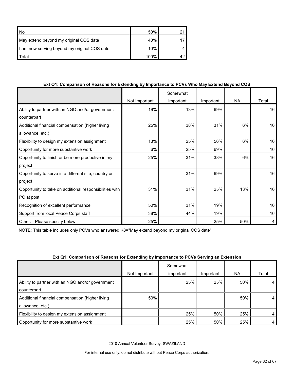| l No                                         | 50%  |  |
|----------------------------------------------|------|--|
| May extend beyond my original COS date       | 40%  |  |
| I am now serving beyond my original COS date | 10%  |  |
| Total                                        | 100% |  |

## **Ext Q1: Comparison of Reasons for Extending by Importance to PCVs Who May Extend Beyond COS**

|                                                         |               | Somewhat  |           |           |       |
|---------------------------------------------------------|---------------|-----------|-----------|-----------|-------|
|                                                         | Not Important | important | Important | <b>NA</b> | Total |
| Ability to partner with an NGO and/or government        | 19%           | 13%       | 69%       |           | 16    |
| counterpart                                             |               |           |           |           |       |
| Additional financial compensation (higher living        | 25%           | 38%       | 31%       | 6%        | 16    |
| allowance, etc.)                                        |               |           |           |           |       |
| Flexibility to design my extension assignment           | 13%           | 25%       | 56%       | 6%        | 16    |
| Opportunity for more substantive work                   | 6%            | 25%       | 69%       |           | 16    |
| Opportunity to finish or be more productive in my       | 25%           | 31%       | 38%       | 6%        | 16    |
| project                                                 |               |           |           |           |       |
| Opportunity to serve in a different site, country or    |               | 31%       | 69%       |           | 16    |
| project                                                 |               |           |           |           |       |
| Opportunity to take on additional responsibilities with | 31%           | 31%       | 25%       | 13%       | 16    |
| PC at post                                              |               |           |           |           |       |
| Recognition of excellent performance                    | 50%           | 31%       | 19%       |           | 16    |
| Support from local Peace Corps staff                    | 38%           | 44%       | 19%       |           | 16    |
| Please specify below<br>Other:                          | 25%           |           | 25%       | 50%       | 4     |

NOTE: This table includes only PCVs who answered K8="May extend beyond my original COS date"

#### **Ext Q1: Comparison of Reasons for Extending by Importance to PCVs Serving an Extension**

|                                                  | Not Important | Somewhat<br>important | Important | NA. | Total |
|--------------------------------------------------|---------------|-----------------------|-----------|-----|-------|
|                                                  |               |                       |           |     |       |
| Ability to partner with an NGO and/or government |               | 25%                   | 25%       | 50% | 4     |
| counterpart                                      |               |                       |           |     |       |
| Additional financial compensation (higher living | 50%           |                       |           | 50% | 4     |
| allowance, etc.)                                 |               |                       |           |     |       |
| Flexibility to design my extension assignment    |               | 25%                   | 50%       | 25% | 4     |
| Opportunity for more substantive work            |               | 25%                   | 50%       | 25% | 4     |

2010 Annual Volunteer Survey: SWAZILAND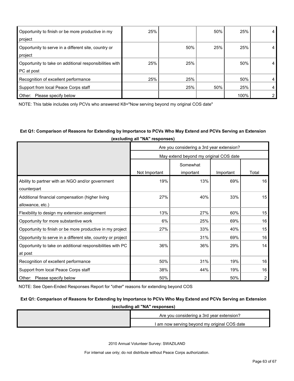| Opportunity to finish or be more productive in my<br>project          | 25% |     | 50% | 25%  | 4              |
|-----------------------------------------------------------------------|-----|-----|-----|------|----------------|
| Opportunity to serve in a different site, country or<br>project       |     | 50% | 25% | 25%  | 4              |
| Opportunity to take on additional responsibilities with<br>PC at post | 25% | 25% |     | 50%  | 4              |
| Recognition of excellent performance                                  | 25% | 25% |     | 50%  | $\overline{4}$ |
| Support from local Peace Corps staff                                  |     | 25% | 50% | 25%  | 4              |
| Other:<br>Please specify below                                        |     |     |     | 100% | $\overline{2}$ |

NOTE: This table includes only PCVs who answered K8="Now serving beyond my original COS date"

## **Ext Q1: Comparison of Reasons for Extending by Importance to PCVs Who May Extend and PCVs Serving an Extension (excluding all "NA" responses)**

|                                                              | Are you considering a 3rd year extension? |           |           |       |  |  |  |
|--------------------------------------------------------------|-------------------------------------------|-----------|-----------|-------|--|--|--|
|                                                              | May extend beyond my original COS date    |           |           |       |  |  |  |
|                                                              | Somewhat                                  |           |           |       |  |  |  |
|                                                              | Not Important                             | important | Important | Total |  |  |  |
| Ability to partner with an NGO and/or government             | 19%                                       | 13%       | 69%       | 16    |  |  |  |
| counterpart                                                  |                                           |           |           |       |  |  |  |
| Additional financial compensation (higher living             | 27%                                       | 40%       | 33%       | 15    |  |  |  |
| allowance, etc.)                                             |                                           |           |           |       |  |  |  |
| Flexibility to design my extension assignment                | 13%                                       | 27%       | 60%       | 15    |  |  |  |
| Opportunity for more substantive work                        | 6%                                        | 25%       | 69%       | 16    |  |  |  |
| Opportunity to finish or be more productive in my project    | 27%                                       | 33%       | 40%       | 15    |  |  |  |
| Opportunity to serve in a different site, country or project |                                           | 31%       | 69%       | 16    |  |  |  |
| Opportunity to take on additional responsibilities with PC   | 36%                                       | 36%       | 29%       | 14    |  |  |  |
| at post                                                      |                                           |           |           |       |  |  |  |
| Recognition of excellent performance                         | 50%                                       | 31%       | 19%       | 16    |  |  |  |
| Support from local Peace Corps staff                         | 38%                                       | 44%       | 19%       | 16    |  |  |  |
| Other: Please specify below                                  | 50%                                       |           | 50%       | 2     |  |  |  |

NOTE: See Open-Ended Responses Report for "other" reasons for extending beyond COS

#### **Ext Q1: Comparison of Reasons for Extending by Importance to PCVs Who May Extend and PCVs Serving an Extension**

| (excluding all "NA" responses) |                                              |  |  |  |
|--------------------------------|----------------------------------------------|--|--|--|
|                                | Are you considering a 3rd year extension?    |  |  |  |
|                                | I am now serving beyond my original COS date |  |  |  |

2010 Annual Volunteer Survey: SWAZILAND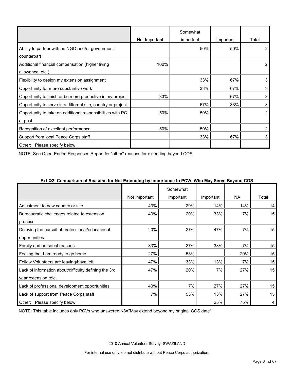|                                                              |               | Somewhat  |           |       |
|--------------------------------------------------------------|---------------|-----------|-----------|-------|
|                                                              | Not Important | important | Important | Total |
| Ability to partner with an NGO and/or government             |               | 50%       | 50%       | 2     |
| counterpart                                                  |               |           |           |       |
| Additional financial compensation (higher living             | 100%          |           |           | 2     |
| allowance, etc.)                                             |               |           |           |       |
| Flexibility to design my extension assignment                |               | 33%       | 67%       | 3     |
| Opportunity for more substantive work                        |               | 33%       | 67%       | 3     |
| Opportunity to finish or be more productive in my project    | 33%           |           | 67%       | 3     |
| Opportunity to serve in a different site, country or project |               | 67%       | 33%       | 3     |
| Opportunity to take on additional responsibilities with PC   | 50%           | 50%       |           | 2     |
| at post                                                      |               |           |           |       |
| Recognition of excellent performance                         | 50%           | 50%       |           | 2     |
| Support from local Peace Corps staff                         |               | 33%       | 67%       | 3     |
| Other: Please specify below                                  |               |           |           |       |

NOTE: See Open-Ended Responses Report for "other" reasons for extending beyond COS

|                                                       | J - J - - - - <b>-</b><br>Not Important | Somewhat<br>important | Important | <b>NA</b> | Total |
|-------------------------------------------------------|-----------------------------------------|-----------------------|-----------|-----------|-------|
| Adjustment to new country or site                     | 43%                                     | 29%                   | 14%       | 14%       | 14    |
| Bureaucratic challenges related to extension          | 40%                                     | 20%                   | 33%       | 7%        | 15    |
| process                                               |                                         |                       |           |           |       |
| Delaying the pursuit of professional/educational      | 20%                                     | 27%                   | 47%       | 7%        | 15    |
| opportunities                                         |                                         |                       |           |           |       |
| Family and personal reasons                           | 33%                                     | 27%                   | 33%       | 7%        | 15    |
| Feeling that I am ready to go home                    | 27%                                     | 53%                   |           | 20%       | 15    |
| Fellow Volunteers are leaving/have left               | 47%                                     | 33%                   | 13%       | 7%        | 15    |
| Lack of information about/difficulty defining the 3rd | 47%                                     | 20%                   | 7%        | 27%       | 15    |
| year extension role                                   |                                         |                       |           |           |       |
| Lack of professional development opportunities        | 40%                                     | 7%                    | 27%       | 27%       | 15    |
| Lack of support from Peace Corps staff                | 7%                                      | 53%                   | 13%       | 27%       | 15    |
| Please specify below<br>Other:                        |                                         |                       | 25%       | 75%       | 4     |

## **Ext Q2: Comparison of Reasons for Not Extending by Importance to PCVs Who May Serve Beyond COS**

NOTE: This table includes only PCVs who answered K8="May extend beyond my original COS date"

2010 Annual Volunteer Survey: SWAZILAND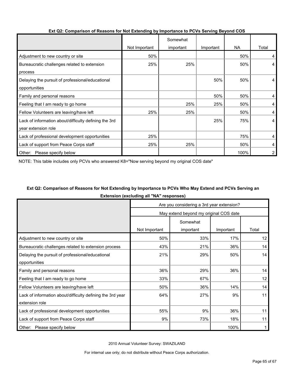|                                                       |               | Somewhat  |           |      |       |
|-------------------------------------------------------|---------------|-----------|-----------|------|-------|
|                                                       | Not Important | important | Important | NA.  | Total |
| Adjustment to new country or site                     | 50%           |           |           | 50%  | 4     |
| Bureaucratic challenges related to extension          | 25%           | 25%       |           | 50%  | 4     |
| process                                               |               |           |           |      |       |
| Delaying the pursuit of professional/educational      |               |           | 50%       | 50%  | 4     |
| opportunities                                         |               |           |           |      |       |
| Family and personal reasons                           |               |           | 50%       | 50%  | 4     |
| Feeling that I am ready to go home                    |               | 25%       | 25%       | 50%  | 4     |
| Fellow Volunteers are leaving/have left               | 25%           | 25%       |           | 50%  | 4     |
| Lack of information about/difficulty defining the 3rd |               |           | 25%       | 75%  | 4     |
| year extension role                                   |               |           |           |      |       |
| Lack of professional development opportunities        | 25%           |           |           | 75%  | 4     |
| Lack of support from Peace Corps staff                | 25%           | 25%       |           | 50%  | 4     |
| Please specify below<br>Other:                        |               |           |           | 100% | 2     |

## **Ext Q2: Comparison of Reasons for Not Extending by Importance to PCVs Serving Beyond COS**

NOTE: This table includes only PCVs who answered K8="Now serving beyond my original COS date"

## **Ext Q2: Comparison of Reasons for Not Extending by Importance to PCVs Who May Extend and PCVs Serving an Extension (excluding all "NA" responses)**

|                                                            | Are you considering a 3rd year extension? |           |           |       |  |  |
|------------------------------------------------------------|-------------------------------------------|-----------|-----------|-------|--|--|
|                                                            | May extend beyond my original COS date    |           |           |       |  |  |
|                                                            | Somewhat                                  |           |           |       |  |  |
|                                                            | Not Important                             | important | Important | Total |  |  |
| Adjustment to new country or site                          | 50%                                       | 33%       | 17%       | 12    |  |  |
| Bureaucratic challenges related to extension process       | 43%                                       | 21%       | 36%       | 14    |  |  |
| Delaying the pursuit of professional/educational           | 21%                                       | 29%       | 50%       | 14    |  |  |
| opportunities                                              |                                           |           |           |       |  |  |
| Family and personal reasons                                | 36%                                       | 29%       | 36%       | 14    |  |  |
| Feeling that I am ready to go home                         | 33%                                       | 67%       |           | 12    |  |  |
| Fellow Volunteers are leaving/have left                    | 50%                                       | 36%       | 14%       | 14    |  |  |
| Lack of information about/difficulty defining the 3rd year | 64%                                       | 27%       | 9%        | 11    |  |  |
| extension role                                             |                                           |           |           |       |  |  |
| Lack of professional development opportunities             | 55%                                       | 9%        | 36%       | 11    |  |  |
| Lack of support from Peace Corps staff                     | 9%                                        | 73%       | 18%       | 11    |  |  |
| Other: Please specify below                                |                                           |           | 100%      |       |  |  |

2010 Annual Volunteer Survey: SWAZILAND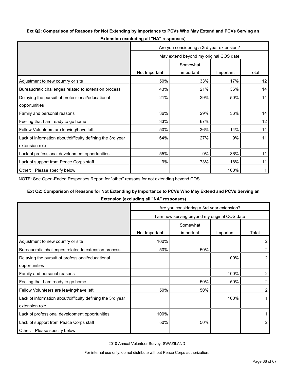## **Ext Q2: Comparison of Reasons for Not Extending by Importance to PCVs Who May Extend and PCVs Serving an**

|                                                            | Are you considering a 3rd year extension? |           |           |       |  |  |
|------------------------------------------------------------|-------------------------------------------|-----------|-----------|-------|--|--|
|                                                            | May extend beyond my original COS date    |           |           |       |  |  |
|                                                            | Somewhat                                  |           |           |       |  |  |
|                                                            | Not Important                             | important | Important | Total |  |  |
| Adjustment to new country or site                          | 50%                                       | 33%       | 17%       | 12    |  |  |
| Bureaucratic challenges related to extension process       | 43%                                       | 21%       | 36%       | 14    |  |  |
| Delaying the pursuit of professional/educational           | 21%                                       | 29%       | 50%       | 14    |  |  |
| opportunities                                              |                                           |           |           |       |  |  |
| Family and personal reasons                                | 36%                                       | 29%       | 36%       | 14    |  |  |
| Feeling that I am ready to go home                         | 33%                                       | 67%       |           | 12    |  |  |
| Fellow Volunteers are leaving/have left                    | 50%                                       | 36%       | 14%       | 14    |  |  |
| Lack of information about/difficulty defining the 3rd year | 64%                                       | 27%       | 9%        | 11    |  |  |
| extension role                                             |                                           |           |           |       |  |  |
| Lack of professional development opportunities             | 55%                                       | 9%        | 36%       | 11    |  |  |
| Lack of support from Peace Corps staff                     | 9%                                        | 73%       | 18%       | 11    |  |  |
| Other: Please specify below                                |                                           |           | 100%      | 1     |  |  |

**Extension (excluding all "NA" responses)**

NOTE: See Open-Ended Responses Report for "other" reasons for not extending beyond COS

## **Ext Q2: Comparison of Reasons for Not Extending by Importance to PCVs Who May Extend and PCVs Serving an**

**Extension (excluding all "NA" responses)**

|                                                            | Are you considering a 3rd year extension?    |           |           |                |  |  |
|------------------------------------------------------------|----------------------------------------------|-----------|-----------|----------------|--|--|
|                                                            | I am now serving beyond my original COS date |           |           |                |  |  |
|                                                            | Somewhat                                     |           |           |                |  |  |
|                                                            | Not Important                                | important | Important | Total          |  |  |
| Adjustment to new country or site                          | 100%                                         |           |           | 2              |  |  |
| Bureaucratic challenges related to extension process       | 50%                                          | 50%       |           | $\overline{2}$ |  |  |
| Delaying the pursuit of professional/educational           |                                              |           | 100%      | $\overline{2}$ |  |  |
| opportunities                                              |                                              |           |           |                |  |  |
| Family and personal reasons                                |                                              |           | 100%      | 2              |  |  |
| Feeling that I am ready to go home                         |                                              | 50%       | 50%       | 2              |  |  |
| Fellow Volunteers are leaving/have left                    | 50%                                          | 50%       |           | $\mathbf{2}$   |  |  |
| Lack of information about/difficulty defining the 3rd year |                                              |           | 100%      |                |  |  |
| extension role                                             |                                              |           |           |                |  |  |
| Lack of professional development opportunities             | 100%                                         |           |           |                |  |  |
| Lack of support from Peace Corps staff                     | 50%                                          | 50%       |           | 2              |  |  |
| Please specify below<br>Other:                             |                                              |           |           |                |  |  |